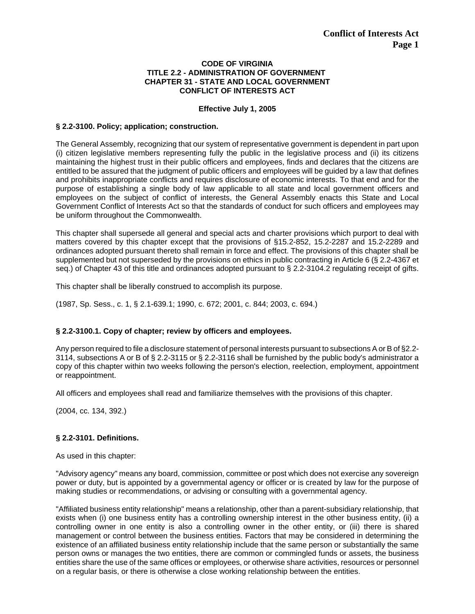#### **CODE OF VIRGINIA TITLE 2.2 - ADMINISTRATION OF GOVERNMENT CHAPTER 31 - STATE AND LOCAL GOVERNMENT CONFLICT OF INTERESTS ACT**

### **Effective July 1, 2005**

#### **§ 2.2-3100. Policy; application; construction.**

The General Assembly, recognizing that our system of representative government is dependent in part upon (i) citizen legislative members representing fully the public in the legislative process and (ii) its citizens maintaining the highest trust in their public officers and employees, finds and declares that the citizens are entitled to be assured that the judgment of public officers and employees will be guided by a law that defines and prohibits inappropriate conflicts and requires disclosure of economic interests. To that end and for the purpose of establishing a single body of law applicable to all state and local government officers and employees on the subject of conflict of interests, the General Assembly enacts this State and Local Government Conflict of Interests Act so that the standards of conduct for such officers and employees may be uniform throughout the Commonwealth.

This chapter shall supersede all general and special acts and charter provisions which purport to deal with matters covered by this chapter except that the provisions of §15.2-852, 15.2-2287 and 15.2-2289 and ordinances adopted pursuant thereto shall remain in force and effect. The provisions of this chapter shall be supplemented but not superseded by the provisions on ethics in public contracting in Article 6 (§ 2.2-4367 et seq.) of Chapter 43 of this title and ordinances adopted pursuant to § 2.2-3104.2 regulating receipt of gifts.

This chapter shall be liberally construed to accomplish its purpose.

(1987, Sp. Sess., c. 1, § 2.1-639.1; 1990, c. 672; 2001, c. 844; 2003, c. 694.)

#### **§ 2.2-3100.1. Copy of chapter; review by officers and employees.**

Any person required to file a disclosure statement of personal interests pursuant to subsections A or B of §2.2- 3114, subsections A or B of § 2.2-3115 or § 2.2-3116 shall be furnished by the public body's administrator a copy of this chapter within two weeks following the person's election, reelection, employment, appointment or reappointment.

All officers and employees shall read and familiarize themselves with the provisions of this chapter.

(2004, cc. 134, 392.)

#### **§ 2.2-3101. Definitions.**

As used in this chapter:

"Advisory agency" means any board, commission, committee or post which does not exercise any sovereign power or duty, but is appointed by a governmental agency or officer or is created by law for the purpose of making studies or recommendations, or advising or consulting with a governmental agency.

"Affiliated business entity relationship" means a relationship, other than a parent-subsidiary relationship, that exists when (i) one business entity has a controlling ownership interest in the other business entity, (ii) a controlling owner in one entity is also a controlling owner in the other entity, or (iii) there is shared management or control between the business entities. Factors that may be considered in determining the existence of an affiliated business entity relationship include that the same person or substantially the same person owns or manages the two entities, there are common or commingled funds or assets, the business entities share the use of the same offices or employees, or otherwise share activities, resources or personnel on a regular basis, or there is otherwise a close working relationship between the entities.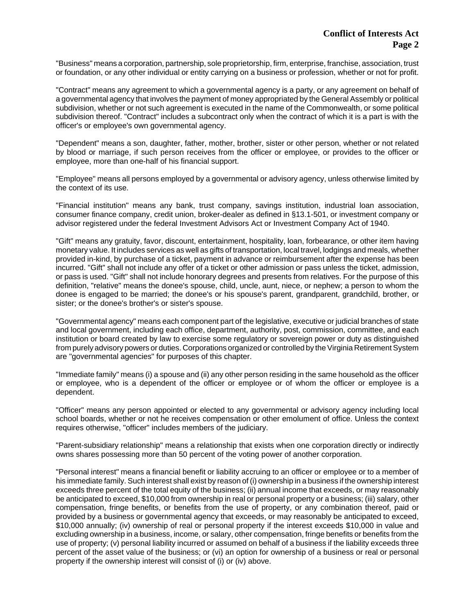"Business" means a corporation, partnership, sole proprietorship, firm, enterprise, franchise, association, trust or foundation, or any other individual or entity carrying on a business or profession, whether or not for profit.

"Contract" means any agreement to which a governmental agency is a party, or any agreement on behalf of a governmental agency that involves the payment of money appropriated by the General Assembly or political subdivision, whether or not such agreement is executed in the name of the Commonwealth, or some political subdivision thereof. "Contract" includes a subcontract only when the contract of which it is a part is with the officer's or employee's own governmental agency.

"Dependent" means a son, daughter, father, mother, brother, sister or other person, whether or not related by blood or marriage, if such person receives from the officer or employee, or provides to the officer or employee, more than one-half of his financial support.

"Employee" means all persons employed by a governmental or advisory agency, unless otherwise limited by the context of its use.

"Financial institution" means any bank, trust company, savings institution, industrial loan association, consumer finance company, credit union, broker-dealer as defined in §13.1-501, or investment company or advisor registered under the federal Investment Advisors Act or Investment Company Act of 1940.

"Gift" means any gratuity, favor, discount, entertainment, hospitality, loan, forbearance, or other item having monetary value. It includes services as well as gifts of transportation, local travel, lodgings and meals, whether provided in-kind, by purchase of a ticket, payment in advance or reimbursement after the expense has been incurred. "Gift" shall not include any offer of a ticket or other admission or pass unless the ticket, admission, or pass is used. "Gift" shall not include honorary degrees and presents from relatives. For the purpose of this definition, "relative" means the donee's spouse, child, uncle, aunt, niece, or nephew; a person to whom the donee is engaged to be married; the donee's or his spouse's parent, grandparent, grandchild, brother, or sister; or the donee's brother's or sister's spouse.

"Governmental agency" means each component part of the legislative, executive or judicial branches of state and local government, including each office, department, authority, post, commission, committee, and each institution or board created by law to exercise some regulatory or sovereign power or duty as distinguished from purely advisory powers or duties. Corporations organized or controlled by the Virginia Retirement System are "governmental agencies" for purposes of this chapter.

"Immediate family" means (i) a spouse and (ii) any other person residing in the same household as the officer or employee, who is a dependent of the officer or employee or of whom the officer or employee is a dependent.

"Officer" means any person appointed or elected to any governmental or advisory agency including local school boards, whether or not he receives compensation or other emolument of office. Unless the context requires otherwise, "officer" includes members of the judiciary.

"Parent-subsidiary relationship" means a relationship that exists when one corporation directly or indirectly owns shares possessing more than 50 percent of the voting power of another corporation.

"Personal interest" means a financial benefit or liability accruing to an officer or employee or to a member of his immediate family. Such interest shall exist by reason of (i) ownership in a business if the ownership interest exceeds three percent of the total equity of the business; (ii) annual income that exceeds, or may reasonably be anticipated to exceed, \$10,000 from ownership in real or personal property or a business; (iii) salary, other compensation, fringe benefits, or benefits from the use of property, or any combination thereof, paid or provided by a business or governmental agency that exceeds, or may reasonably be anticipated to exceed, \$10,000 annually; (iv) ownership of real or personal property if the interest exceeds \$10,000 in value and excluding ownership in a business, income, or salary, other compensation, fringe benefits or benefits from the use of property; (v) personal liability incurred or assumed on behalf of a business if the liability exceeds three percent of the asset value of the business; or (vi) an option for ownership of a business or real or personal property if the ownership interest will consist of (i) or (iv) above.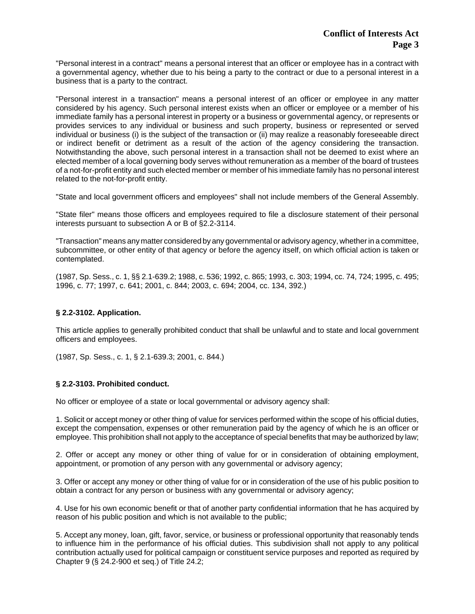"Personal interest in a contract" means a personal interest that an officer or employee has in a contract with a governmental agency, whether due to his being a party to the contract or due to a personal interest in a business that is a party to the contract.

"Personal interest in a transaction" means a personal interest of an officer or employee in any matter considered by his agency. Such personal interest exists when an officer or employee or a member of his immediate family has a personal interest in property or a business or governmental agency, or represents or provides services to any individual or business and such property, business or represented or served individual or business (i) is the subject of the transaction or (ii) may realize a reasonably foreseeable direct or indirect benefit or detriment as a result of the action of the agency considering the transaction. Notwithstanding the above, such personal interest in a transaction shall not be deemed to exist where an elected member of a local governing body serves without remuneration as a member of the board of trustees of a not-for-profit entity and such elected member or member of his immediate family has no personal interest related to the not-for-profit entity.

"State and local government officers and employees" shall not include members of the General Assembly.

"State filer" means those officers and employees required to file a disclosure statement of their personal interests pursuant to subsection A or B of §2.2-3114.

"Transaction" means any matter considered by any governmental or advisory agency, whether in a committee, subcommittee, or other entity of that agency or before the agency itself, on which official action is taken or contemplated.

(1987, Sp. Sess., c. 1, §§ 2.1-639.2; 1988, c. 536; 1992, c. 865; 1993, c. 303; 1994, cc. 74, 724; 1995, c. 495; 1996, c. 77; 1997, c. 641; 2001, c. 844; 2003, c. 694; 2004, cc. 134, 392.)

#### **§ 2.2-3102. Application.**

This article applies to generally prohibited conduct that shall be unlawful and to state and local government officers and employees.

(1987, Sp. Sess., c. 1, § 2.1-639.3; 2001, c. 844.)

#### **§ 2.2-3103. Prohibited conduct.**

No officer or employee of a state or local governmental or advisory agency shall:

1. Solicit or accept money or other thing of value for services performed within the scope of his official duties, except the compensation, expenses or other remuneration paid by the agency of which he is an officer or employee. This prohibition shall not apply to the acceptance of special benefits that may be authorized by law;

2. Offer or accept any money or other thing of value for or in consideration of obtaining employment, appointment, or promotion of any person with any governmental or advisory agency;

3. Offer or accept any money or other thing of value for or in consideration of the use of his public position to obtain a contract for any person or business with any governmental or advisory agency;

4. Use for his own economic benefit or that of another party confidential information that he has acquired by reason of his public position and which is not available to the public;

5. Accept any money, loan, gift, favor, service, or business or professional opportunity that reasonably tends to influence him in the performance of his official duties. This subdivision shall not apply to any political contribution actually used for political campaign or constituent service purposes and reported as required by Chapter 9 (§ 24.2-900 et seq.) of Title 24.2;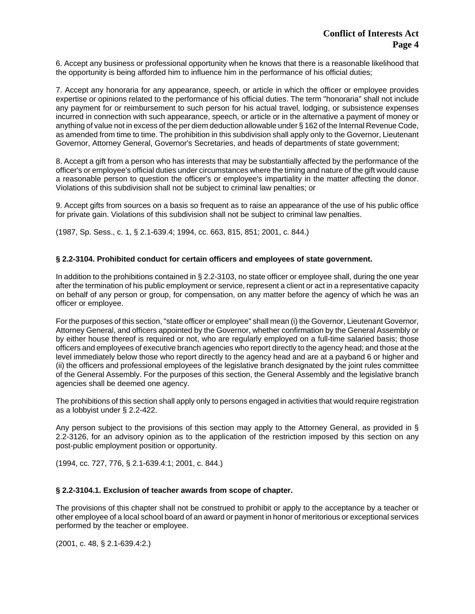6. Accept any business or professional opportunity when he knows that there is a reasonable likelihood that the opportunity is being afforded him to influence him in the performance of his official duties;

7. Accept any honoraria for any appearance, speech, or article in which the officer or employee provides expertise or opinions related to the performance of his official duties. The term "honoraria" shall not include any payment for or reimbursement to such person for his actual travel, lodging, or subsistence expenses incurred in connection with such appearance, speech, or article or in the alternative a payment of money or anything of value not in excess of the per diem deduction allowable under § 162 of the Internal Revenue Code, as amended from time to time. The prohibition in this subdivision shall apply only to the Governor, Lieutenant Governor, Attorney General, Governor's Secretaries, and heads of departments of state government;

8. Accept a gift from a person who has interests that may be substantially affected by the performance of the officer's or employee's official duties under circumstances where the timing and nature of the gift would cause a reasonable person to question the officer's or employee's impartiality in the matter affecting the donor. Violations of this subdivision shall not be subject to criminal law penalties; or

9. Accept gifts from sources on a basis so frequent as to raise an appearance of the use of his public office for private gain. Violations of this subdivision shall not be subject to criminal law penalties.

(1987, Sp. Sess., c. 1, § 2.1-639.4; 1994, cc. 663, 815, 851; 2001, c. 844.)

#### **§ 2.2-3104. Prohibited conduct for certain officers and employees of state government.**

In addition to the prohibitions contained in § 2.2-3103, no state officer or employee shall, during the one year after the termination of his public employment or service, represent a client or act in a representative capacity on behalf of any person or group, for compensation, on any matter before the agency of which he was an officer or employee.

For the purposes of this section, "state officer or employee" shall mean (i) the Governor, Lieutenant Governor, Attorney General, and officers appointed by the Governor, whether confirmation by the General Assembly or by either house thereof is required or not, who are regularly employed on a full-time salaried basis; those officers and employees of executive branch agencies who report directly to the agency head; and those at the level immediately below those who report directly to the agency head and are at a payband 6 or higher and (ii) the officers and professional employees of the legislative branch designated by the joint rules committee of the General Assembly. For the purposes of this section, the General Assembly and the legislative branch agencies shall be deemed one agency.

The prohibitions of this section shall apply only to persons engaged in activities that would require registration as a lobbyist under § 2.2-422.

Any person subject to the provisions of this section may apply to the Attorney General, as provided in § 2.2-3126, for an advisory opinion as to the application of the restriction imposed by this section on any post-public employment position or opportunity.

(1994, cc. 727, 776, § 2.1-639.4:1; 2001, c. 844.)

#### **§ 2.2-3104.1. Exclusion of teacher awards from scope of chapter.**

The provisions of this chapter shall not be construed to prohibit or apply to the acceptance by a teacher or other employee of a local school board of an award or payment in honor of meritorious or exceptional services performed by the teacher or employee.

(2001, c. 48, § 2.1-639.4:2.)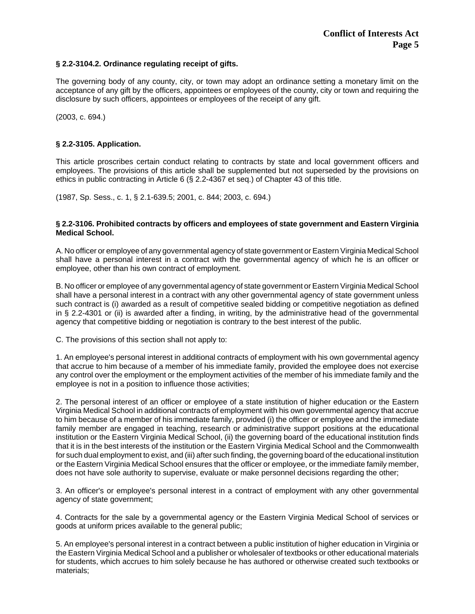#### **§ 2.2-3104.2. Ordinance regulating receipt of gifts.**

The governing body of any county, city, or town may adopt an ordinance setting a monetary limit on the acceptance of any gift by the officers, appointees or employees of the county, city or town and requiring the disclosure by such officers, appointees or employees of the receipt of any gift.

(2003, c. 694.)

## **§ 2.2-3105. Application.**

This article proscribes certain conduct relating to contracts by state and local government officers and employees. The provisions of this article shall be supplemented but not superseded by the provisions on ethics in public contracting in Article 6 (§ 2.2-4367 et seq.) of Chapter 43 of this title.

(1987, Sp. Sess., c. 1, § 2.1-639.5; 2001, c. 844; 2003, c. 694.)

#### **§ 2.2-3106. Prohibited contracts by officers and employees of state government and Eastern Virginia Medical School.**

A. No officer or employee of any governmental agency of state government or Eastern Virginia Medical School shall have a personal interest in a contract with the governmental agency of which he is an officer or employee, other than his own contract of employment.

B. No officer or employee of any governmental agency of state government or Eastern Virginia Medical School shall have a personal interest in a contract with any other governmental agency of state government unless such contract is (i) awarded as a result of competitive sealed bidding or competitive negotiation as defined in § 2.2-4301 or (ii) is awarded after a finding, in writing, by the administrative head of the governmental agency that competitive bidding or negotiation is contrary to the best interest of the public.

C. The provisions of this section shall not apply to:

1. An employee's personal interest in additional contracts of employment with his own governmental agency that accrue to him because of a member of his immediate family, provided the employee does not exercise any control over the employment or the employment activities of the member of his immediate family and the employee is not in a position to influence those activities;

2. The personal interest of an officer or employee of a state institution of higher education or the Eastern Virginia Medical School in additional contracts of employment with his own governmental agency that accrue to him because of a member of his immediate family, provided (i) the officer or employee and the immediate family member are engaged in teaching, research or administrative support positions at the educational institution or the Eastern Virginia Medical School, (ii) the governing board of the educational institution finds that it is in the best interests of the institution or the Eastern Virginia Medical School and the Commonwealth for such dual employment to exist, and (iii) after such finding, the governing board of the educational institution or the Eastern Virginia Medical School ensures that the officer or employee, or the immediate family member, does not have sole authority to supervise, evaluate or make personnel decisions regarding the other;

3. An officer's or employee's personal interest in a contract of employment with any other governmental agency of state government;

4. Contracts for the sale by a governmental agency or the Eastern Virginia Medical School of services or goods at uniform prices available to the general public;

5. An employee's personal interest in a contract between a public institution of higher education in Virginia or the Eastern Virginia Medical School and a publisher or wholesaler of textbooks or other educational materials for students, which accrues to him solely because he has authored or otherwise created such textbooks or materials;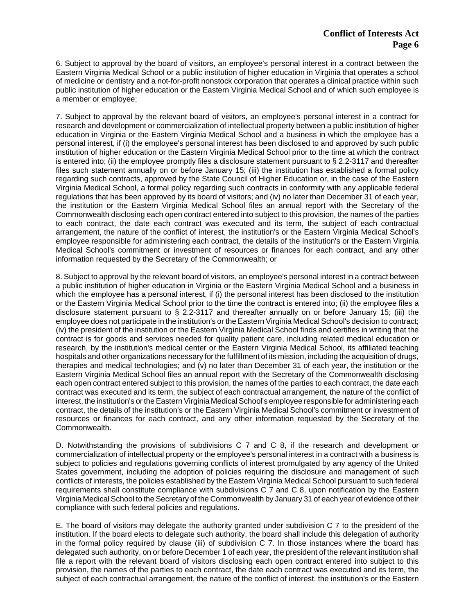6. Subject to approval by the board of visitors, an employee's personal interest in a contract between the Eastern Virginia Medical School or a public institution of higher education in Virginia that operates a school of medicine or dentistry and a not-for-profit nonstock corporation that operates a clinical practice within such public institution of higher education or the Eastern Virginia Medical School and of which such employee is a member or employee;

7. Subject to approval by the relevant board of visitors, an employee's personal interest in a contract for research and development or commercialization of intellectual property between a public institution of higher education in Virginia or the Eastern Virginia Medical School and a business in which the employee has a personal interest, if (i) the employee's personal interest has been disclosed to and approved by such public institution of higher education or the Eastern Virginia Medical School prior to the time at which the contract is entered into; (ii) the employee promptly files a disclosure statement pursuant to § 2.2-3117 and thereafter files such statement annually on or before January 15; (iii) the institution has established a formal policy regarding such contracts, approved by the State Council of Higher Education or, in the case of the Eastern Virginia Medical School, a formal policy regarding such contracts in conformity with any applicable federal regulations that has been approved by its board of visitors; and (iv) no later than December 31 of each year, the institution or the Eastern Virginia Medical School files an annual report with the Secretary of the Commonwealth disclosing each open contract entered into subject to this provision, the names of the parties to each contract, the date each contract was executed and its term, the subject of each contractual arrangement, the nature of the conflict of interest, the institution's or the Eastern Virginia Medical School's employee responsible for administering each contract, the details of the institution's or the Eastern Virginia Medical School's commitment or investment of resources or finances for each contract, and any other information requested by the Secretary of the Commonwealth; or

8. Subject to approval by the relevant board of visitors, an employee's personal interest in a contract between a public institution of higher education in Virginia or the Eastern Virginia Medical School and a business in which the employee has a personal interest, if (i) the personal interest has been disclosed to the institution or the Eastern Virginia Medical School prior to the time the contract is entered into; (ii) the employee files a disclosure statement pursuant to § 2.2-3117 and thereafter annually on or before January 15; (iii) the employee does not participate in the institution's or the Eastern Virginia Medical School's decision to contract; (iv) the president of the institution or the Eastern Virginia Medical School finds and certifies in writing that the contract is for goods and services needed for quality patient care, including related medical education or research, by the institution's medical center or the Eastern Virginia Medical School, its affiliated teaching hospitals and other organizations necessary for the fulfillment of its mission, including the acquisition of drugs, therapies and medical technologies; and (v) no later than December 31 of each year, the institution or the Eastern Virginia Medical School files an annual report with the Secretary of the Commonwealth disclosing each open contract entered subject to this provision, the names of the parties to each contract, the date each contract was executed and its term, the subject of each contractual arrangement, the nature of the conflict of interest, the institution's or the Eastern Virginia Medical School's employee responsible for administering each contract, the details of the institution's or the Eastern Virginia Medical School's commitment or investment of resources or finances for each contract, and any other information requested by the Secretary of the Commonwealth.

D. Notwithstanding the provisions of subdivisions C 7 and C 8, if the research and development or commercialization of intellectual property or the employee's personal interest in a contract with a business is subject to policies and regulations governing conflicts of interest promulgated by any agency of the United States government, including the adoption of policies requiring the disclosure and management of such conflicts of interests, the policies established by the Eastern Virginia Medical School pursuant to such federal requirements shall constitute compliance with subdivisions C 7 and C 8, upon notification by the Eastern Virginia Medical School to the Secretary of the Commonwealth by January 31 of each year of evidence of their compliance with such federal policies and regulations.

E. The board of visitors may delegate the authority granted under subdivision C 7 to the president of the institution. If the board elects to delegate such authority, the board shall include this delegation of authority in the formal policy required by clause (iii) of subdivision C 7. In those instances where the board has delegated such authority, on or before December 1 of each year, the president of the relevant institution shall file a report with the relevant board of visitors disclosing each open contract entered into subject to this provision, the names of the parties to each contract, the date each contract was executed and its term, the subject of each contractual arrangement, the nature of the conflict of interest, the institution's or the Eastern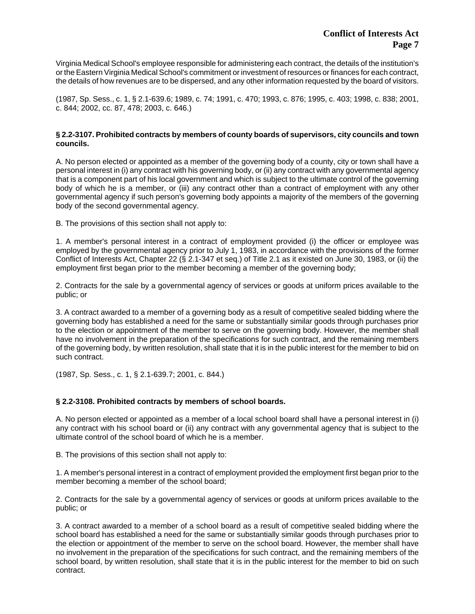Virginia Medical School's employee responsible for administering each contract, the details of the institution's or the Eastern Virginia Medical School's commitment or investment of resources or finances for each contract, the details of how revenues are to be dispersed, and any other information requested by the board of visitors.

(1987, Sp. Sess., c. 1, § 2.1-639.6; 1989, c. 74; 1991, c. 470; 1993, c. 876; 1995, c. 403; 1998, c. 838; 2001, c. 844; 2002, cc. 87, 478; 2003, c. 646.)

### **§ 2.2-3107. Prohibited contracts by members of county boards of supervisors, city councils and town councils.**

A. No person elected or appointed as a member of the governing body of a county, city or town shall have a personal interest in (i) any contract with his governing body, or (ii) any contract with any governmental agency that is a component part of his local government and which is subject to the ultimate control of the governing body of which he is a member, or (iii) any contract other than a contract of employment with any other governmental agency if such person's governing body appoints a majority of the members of the governing body of the second governmental agency.

B. The provisions of this section shall not apply to:

1. A member's personal interest in a contract of employment provided (i) the officer or employee was employed by the governmental agency prior to July 1, 1983, in accordance with the provisions of the former Conflict of Interests Act, Chapter 22 (§ 2.1-347 et seq.) of Title 2.1 as it existed on June 30, 1983, or (ii) the employment first began prior to the member becoming a member of the governing body;

2. Contracts for the sale by a governmental agency of services or goods at uniform prices available to the public; or

3. A contract awarded to a member of a governing body as a result of competitive sealed bidding where the governing body has established a need for the same or substantially similar goods through purchases prior to the election or appointment of the member to serve on the governing body. However, the member shall have no involvement in the preparation of the specifications for such contract, and the remaining members of the governing body, by written resolution, shall state that it is in the public interest for the member to bid on such contract.

(1987, Sp. Sess., c. 1, § 2.1-639.7; 2001, c. 844.)

#### **§ 2.2-3108. Prohibited contracts by members of school boards.**

A. No person elected or appointed as a member of a local school board shall have a personal interest in (i) any contract with his school board or (ii) any contract with any governmental agency that is subject to the ultimate control of the school board of which he is a member.

B. The provisions of this section shall not apply to:

1. A member's personal interest in a contract of employment provided the employment first began prior to the member becoming a member of the school board;

2. Contracts for the sale by a governmental agency of services or goods at uniform prices available to the public; or

3. A contract awarded to a member of a school board as a result of competitive sealed bidding where the school board has established a need for the same or substantially similar goods through purchases prior to the election or appointment of the member to serve on the school board. However, the member shall have no involvement in the preparation of the specifications for such contract, and the remaining members of the school board, by written resolution, shall state that it is in the public interest for the member to bid on such contract.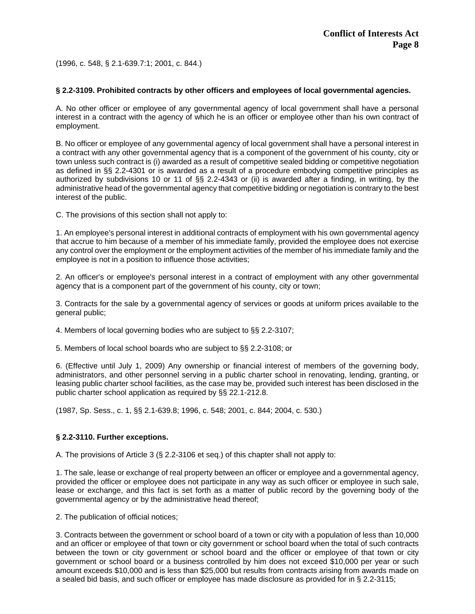(1996, c. 548, § 2.1-639.7:1; 2001, c. 844.)

### **§ 2.2-3109. Prohibited contracts by other officers and employees of local governmental agencies.**

A. No other officer or employee of any governmental agency of local government shall have a personal interest in a contract with the agency of which he is an officer or employee other than his own contract of employment.

B. No officer or employee of any governmental agency of local government shall have a personal interest in a contract with any other governmental agency that is a component of the government of his county, city or town unless such contract is (i) awarded as a result of competitive sealed bidding or competitive negotiation as defined in §§ 2.2-4301 or is awarded as a result of a procedure embodying competitive principles as authorized by subdivisions 10 or 11 of §§ 2.2-4343 or (ii) is awarded after a finding, in writing, by the administrative head of the governmental agency that competitive bidding or negotiation is contrary to the best interest of the public.

C. The provisions of this section shall not apply to:

1. An employee's personal interest in additional contracts of employment with his own governmental agency that accrue to him because of a member of his immediate family, provided the employee does not exercise any control over the employment or the employment activities of the member of his immediate family and the employee is not in a position to influence those activities;

2. An officer's or employee's personal interest in a contract of employment with any other governmental agency that is a component part of the government of his county, city or town;

3. Contracts for the sale by a governmental agency of services or goods at uniform prices available to the general public;

4. Members of local governing bodies who are subject to §§ 2.2-3107;

5. Members of local school boards who are subject to §§ 2.2-3108; or

6. (Effective until July 1, 2009) Any ownership or financial interest of members of the governing body, administrators, and other personnel serving in a public charter school in renovating, lending, granting, or leasing public charter school facilities, as the case may be, provided such interest has been disclosed in the public charter school application as required by §§ 22.1-212.8.

(1987, Sp. Sess., c. 1, §§ 2.1-639.8; 1996, c. 548; 2001, c. 844; 2004, c. 530.)

#### **§ 2.2-3110. Further exceptions.**

A. The provisions of Article 3 (§ 2.2-3106 et seq.) of this chapter shall not apply to:

1. The sale, lease or exchange of real property between an officer or employee and a governmental agency, provided the officer or employee does not participate in any way as such officer or employee in such sale, lease or exchange, and this fact is set forth as a matter of public record by the governing body of the governmental agency or by the administrative head thereof;

2. The publication of official notices;

3. Contracts between the government or school board of a town or city with a population of less than 10,000 and an officer or employee of that town or city government or school board when the total of such contracts between the town or city government or school board and the officer or employee of that town or city government or school board or a business controlled by him does not exceed \$10,000 per year or such amount exceeds \$10,000 and is less than \$25,000 but results from contracts arising from awards made on a sealed bid basis, and such officer or employee has made disclosure as provided for in § 2.2-3115;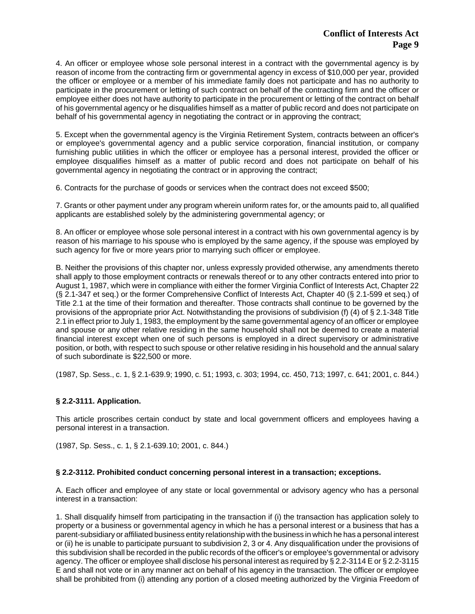4. An officer or employee whose sole personal interest in a contract with the governmental agency is by reason of income from the contracting firm or governmental agency in excess of \$10,000 per year, provided the officer or employee or a member of his immediate family does not participate and has no authority to participate in the procurement or letting of such contract on behalf of the contracting firm and the officer or employee either does not have authority to participate in the procurement or letting of the contract on behalf of his governmental agency or he disqualifies himself as a matter of public record and does not participate on behalf of his governmental agency in negotiating the contract or in approving the contract;

5. Except when the governmental agency is the Virginia Retirement System, contracts between an officer's or employee's governmental agency and a public service corporation, financial institution, or company furnishing public utilities in which the officer or employee has a personal interest, provided the officer or employee disqualifies himself as a matter of public record and does not participate on behalf of his governmental agency in negotiating the contract or in approving the contract;

6. Contracts for the purchase of goods or services when the contract does not exceed \$500;

7. Grants or other payment under any program wherein uniform rates for, or the amounts paid to, all qualified applicants are established solely by the administering governmental agency; or

8. An officer or employee whose sole personal interest in a contract with his own governmental agency is by reason of his marriage to his spouse who is employed by the same agency, if the spouse was employed by such agency for five or more years prior to marrying such officer or employee.

B. Neither the provisions of this chapter nor, unless expressly provided otherwise, any amendments thereto shall apply to those employment contracts or renewals thereof or to any other contracts entered into prior to August 1, 1987, which were in compliance with either the former Virginia Conflict of Interests Act, Chapter 22 (§ 2.1-347 et seq.) or the former Comprehensive Conflict of Interests Act, Chapter 40 (§ 2.1-599 et seq.) of Title 2.1 at the time of their formation and thereafter. Those contracts shall continue to be governed by the provisions of the appropriate prior Act. Notwithstanding the provisions of subdivision (f) (4) of § 2.1-348 Title 2.1 in effect prior to July 1, 1983, the employment by the same governmental agency of an officer or employee and spouse or any other relative residing in the same household shall not be deemed to create a material financial interest except when one of such persons is employed in a direct supervisory or administrative position, or both, with respect to such spouse or other relative residing in his household and the annual salary of such subordinate is \$22,500 or more.

(1987, Sp. Sess., c. 1, § 2.1-639.9; 1990, c. 51; 1993, c. 303; 1994, cc. 450, 713; 1997, c. 641; 2001, c. 844.)

# **§ 2.2-3111. Application.**

This article proscribes certain conduct by state and local government officers and employees having a personal interest in a transaction.

(1987, Sp. Sess., c. 1, § 2.1-639.10; 2001, c. 844.)

#### **§ 2.2-3112. Prohibited conduct concerning personal interest in a transaction; exceptions.**

A. Each officer and employee of any state or local governmental or advisory agency who has a personal interest in a transaction:

1. Shall disqualify himself from participating in the transaction if (i) the transaction has application solely to property or a business or governmental agency in which he has a personal interest or a business that has a parent-subsidiary or affiliated business entity relationship with the business in which he has a personal interest or (ii) he is unable to participate pursuant to subdivision 2, 3 or 4. Any disqualification under the provisions of this subdivision shall be recorded in the public records of the officer's or employee's governmental or advisory agency. The officer or employee shall disclose his personal interest as required by § 2.2-3114 E or § 2.2-3115 E and shall not vote or in any manner act on behalf of his agency in the transaction. The officer or employee shall be prohibited from (i) attending any portion of a closed meeting authorized by the Virginia Freedom of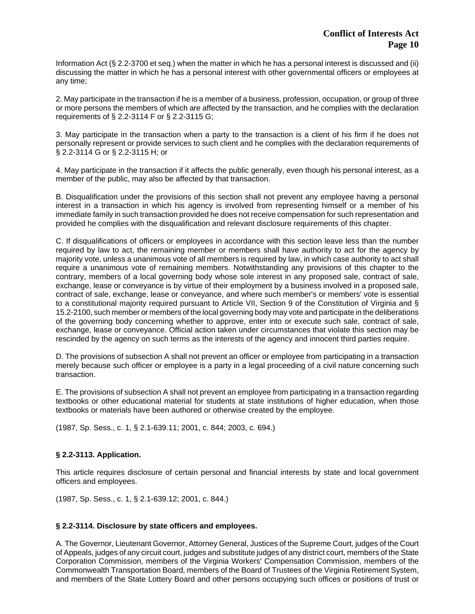Information Act (§ 2.2-3700 et seq.) when the matter in which he has a personal interest is discussed and (ii) discussing the matter in which he has a personal interest with other governmental officers or employees at any time;

2. May participate in the transaction if he is a member of a business, profession, occupation, or group of three or more persons the members of which are affected by the transaction, and he complies with the declaration requirements of § 2.2-3114 F or § 2.2-3115 G;

3. May participate in the transaction when a party to the transaction is a client of his firm if he does not personally represent or provide services to such client and he complies with the declaration requirements of § 2.2-3114 G or § 2.2-3115 H; or

4. May participate in the transaction if it affects the public generally, even though his personal interest, as a member of the public, may also be affected by that transaction.

B. Disqualification under the provisions of this section shall not prevent any employee having a personal interest in a transaction in which his agency is involved from representing himself or a member of his immediate family in such transaction provided he does not receive compensation for such representation and provided he complies with the disqualification and relevant disclosure requirements of this chapter.

C. If disqualifications of officers or employees in accordance with this section leave less than the number required by law to act, the remaining member or members shall have authority to act for the agency by majority vote, unless a unanimous vote of all members is required by law, in which case authority to act shall require a unanimous vote of remaining members. Notwithstanding any provisions of this chapter to the contrary, members of a local governing body whose sole interest in any proposed sale, contract of sale, exchange, lease or conveyance is by virtue of their employment by a business involved in a proposed sale, contract of sale, exchange, lease or conveyance, and where such member's or members' vote is essential to a constitutional majority required pursuant to Article VII, Section 9 of the Constitution of Virginia and § 15.2-2100, such member or members of the local governing body may vote and participate in the deliberations of the governing body concerning whether to approve, enter into or execute such sale, contract of sale, exchange, lease or conveyance. Official action taken under circumstances that violate this section may be rescinded by the agency on such terms as the interests of the agency and innocent third parties require.

D. The provisions of subsection A shall not prevent an officer or employee from participating in a transaction merely because such officer or employee is a party in a legal proceeding of a civil nature concerning such transaction.

E. The provisions of subsection A shall not prevent an employee from participating in a transaction regarding textbooks or other educational material for students at state institutions of higher education, when those textbooks or materials have been authored or otherwise created by the employee.

(1987, Sp. Sess., c. 1, § 2.1-639.11; 2001, c. 844; 2003, c. 694.)

# **§ 2.2-3113. Application.**

This article requires disclosure of certain personal and financial interests by state and local government officers and employees.

(1987, Sp. Sess., c. 1, § 2.1-639.12; 2001, c. 844.)

#### **§ 2.2-3114. Disclosure by state officers and employees.**

A. The Governor, Lieutenant Governor, Attorney General, Justices of the Supreme Court, judges of the Court of Appeals, judges of any circuit court, judges and substitute judges of any district court, members of the State Corporation Commission, members of the Virginia Workers' Compensation Commission, members of the Commonwealth Transportation Board, members of the Board of Trustees of the Virginia Retirement System, and members of the State Lottery Board and other persons occupying such offices or positions of trust or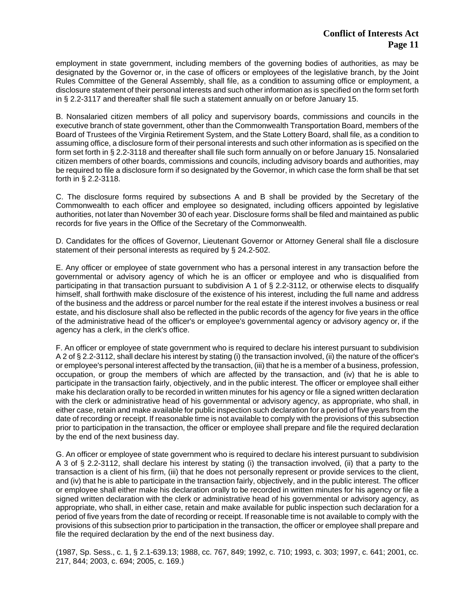employment in state government, including members of the governing bodies of authorities, as may be designated by the Governor or, in the case of officers or employees of the legislative branch, by the Joint Rules Committee of the General Assembly, shall file, as a condition to assuming office or employment, a disclosure statement of their personal interests and such other information as is specified on the form set forth in § 2.2-3117 and thereafter shall file such a statement annually on or before January 15.

B. Nonsalaried citizen members of all policy and supervisory boards, commissions and councils in the executive branch of state government, other than the Commonwealth Transportation Board, members of the Board of Trustees of the Virginia Retirement System, and the State Lottery Board, shall file, as a condition to assuming office, a disclosure form of their personal interests and such other information as is specified on the form set forth in § 2.2-3118 and thereafter shall file such form annually on or before January 15. Nonsalaried citizen members of other boards, commissions and councils, including advisory boards and authorities, may be required to file a disclosure form if so designated by the Governor, in which case the form shall be that set forth in § 2.2-3118.

C. The disclosure forms required by subsections A and B shall be provided by the Secretary of the Commonwealth to each officer and employee so designated, including officers appointed by legislative authorities, not later than November 30 of each year. Disclosure forms shall be filed and maintained as public records for five years in the Office of the Secretary of the Commonwealth.

D. Candidates for the offices of Governor, Lieutenant Governor or Attorney General shall file a disclosure statement of their personal interests as required by § 24.2-502.

E. Any officer or employee of state government who has a personal interest in any transaction before the governmental or advisory agency of which he is an officer or employee and who is disqualified from participating in that transaction pursuant to subdivision A 1 of § 2.2-3112, or otherwise elects to disqualify himself, shall forthwith make disclosure of the existence of his interest, including the full name and address of the business and the address or parcel number for the real estate if the interest involves a business or real estate, and his disclosure shall also be reflected in the public records of the agency for five years in the office of the administrative head of the officer's or employee's governmental agency or advisory agency or, if the agency has a clerk, in the clerk's office.

F. An officer or employee of state government who is required to declare his interest pursuant to subdivision A 2 of § 2.2-3112, shall declare his interest by stating (i) the transaction involved, (ii) the nature of the officer's or employee's personal interest affected by the transaction, (iii) that he is a member of a business, profession, occupation, or group the members of which are affected by the transaction, and (iv) that he is able to participate in the transaction fairly, objectively, and in the public interest. The officer or employee shall either make his declaration orally to be recorded in written minutes for his agency or file a signed written declaration with the clerk or administrative head of his governmental or advisory agency, as appropriate, who shall, in either case, retain and make available for public inspection such declaration for a period of five years from the date of recording or receipt. If reasonable time is not available to comply with the provisions of this subsection prior to participation in the transaction, the officer or employee shall prepare and file the required declaration by the end of the next business day.

G. An officer or employee of state government who is required to declare his interest pursuant to subdivision A 3 of § 2.2-3112, shall declare his interest by stating (i) the transaction involved, (ii) that a party to the transaction is a client of his firm, (iii) that he does not personally represent or provide services to the client, and (iv) that he is able to participate in the transaction fairly, objectively, and in the public interest. The officer or employee shall either make his declaration orally to be recorded in written minutes for his agency or file a signed written declaration with the clerk or administrative head of his governmental or advisory agency, as appropriate, who shall, in either case, retain and make available for public inspection such declaration for a period of five years from the date of recording or receipt. If reasonable time is not available to comply with the provisions of this subsection prior to participation in the transaction, the officer or employee shall prepare and file the required declaration by the end of the next business day.

(1987, Sp. Sess., c. 1, § 2.1-639.13; 1988, cc. 767, 849; 1992, c. 710; 1993, c. 303; 1997, c. 641; 2001, cc. 217, 844; 2003, c. 694; 2005, c. 169.)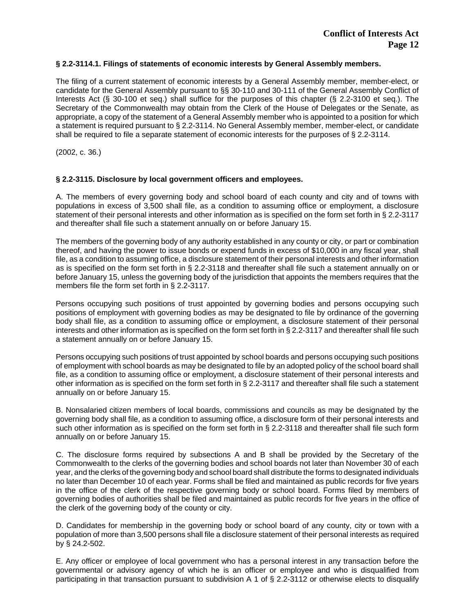### **§ 2.2-3114.1. Filings of statements of economic interests by General Assembly members.**

The filing of a current statement of economic interests by a General Assembly member, member-elect, or candidate for the General Assembly pursuant to §§ 30-110 and 30-111 of the General Assembly Conflict of Interests Act (§ 30-100 et seq.) shall suffice for the purposes of this chapter (§ 2.2-3100 et seq.). The Secretary of the Commonwealth may obtain from the Clerk of the House of Delegates or the Senate, as appropriate, a copy of the statement of a General Assembly member who is appointed to a position for which a statement is required pursuant to § 2.2-3114. No General Assembly member, member-elect, or candidate shall be required to file a separate statement of economic interests for the purposes of § 2.2-3114.

(2002, c. 36.)

# **§ 2.2-3115. Disclosure by local government officers and employees.**

A. The members of every governing body and school board of each county and city and of towns with populations in excess of 3,500 shall file, as a condition to assuming office or employment, a disclosure statement of their personal interests and other information as is specified on the form set forth in § 2.2-3117 and thereafter shall file such a statement annually on or before January 15.

The members of the governing body of any authority established in any county or city, or part or combination thereof, and having the power to issue bonds or expend funds in excess of \$10,000 in any fiscal year, shall file, as a condition to assuming office, a disclosure statement of their personal interests and other information as is specified on the form set forth in § 2.2-3118 and thereafter shall file such a statement annually on or before January 15, unless the governing body of the jurisdiction that appoints the members requires that the members file the form set forth in § 2.2-3117.

Persons occupying such positions of trust appointed by governing bodies and persons occupying such positions of employment with governing bodies as may be designated to file by ordinance of the governing body shall file, as a condition to assuming office or employment, a disclosure statement of their personal interests and other information as is specified on the form set forth in § 2.2-3117 and thereafter shall file such a statement annually on or before January 15.

Persons occupying such positions of trust appointed by school boards and persons occupying such positions of employment with school boards as may be designated to file by an adopted policy of the school board shall file, as a condition to assuming office or employment, a disclosure statement of their personal interests and other information as is specified on the form set forth in § 2.2-3117 and thereafter shall file such a statement annually on or before January 15.

B. Nonsalaried citizen members of local boards, commissions and councils as may be designated by the governing body shall file, as a condition to assuming office, a disclosure form of their personal interests and such other information as is specified on the form set forth in § 2.2-3118 and thereafter shall file such form annually on or before January 15.

C. The disclosure forms required by subsections A and B shall be provided by the Secretary of the Commonwealth to the clerks of the governing bodies and school boards not later than November 30 of each year, and the clerks of the governing body and school board shall distribute the forms to designated individuals no later than December 10 of each year. Forms shall be filed and maintained as public records for five years in the office of the clerk of the respective governing body or school board. Forms filed by members of governing bodies of authorities shall be filed and maintained as public records for five years in the office of the clerk of the governing body of the county or city.

D. Candidates for membership in the governing body or school board of any county, city or town with a population of more than 3,500 persons shall file a disclosure statement of their personal interests as required by § 24.2-502.

E. Any officer or employee of local government who has a personal interest in any transaction before the governmental or advisory agency of which he is an officer or employee and who is disqualified from participating in that transaction pursuant to subdivision A 1 of § 2.2-3112 or otherwise elects to disqualify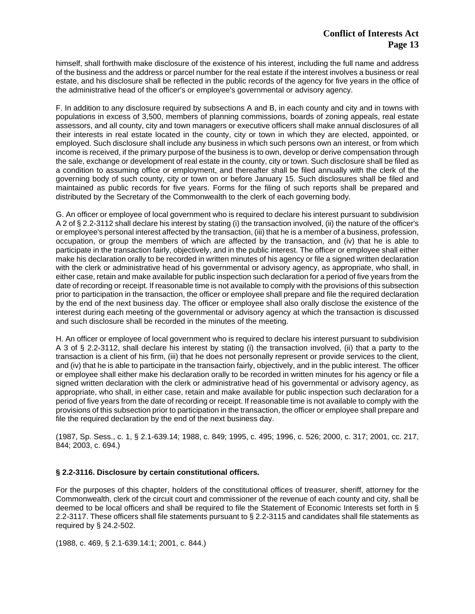himself, shall forthwith make disclosure of the existence of his interest, including the full name and address of the business and the address or parcel number for the real estate if the interest involves a business or real estate, and his disclosure shall be reflected in the public records of the agency for five years in the office of the administrative head of the officer's or employee's governmental or advisory agency.

F. In addition to any disclosure required by subsections A and B, in each county and city and in towns with populations in excess of 3,500, members of planning commissions, boards of zoning appeals, real estate assessors, and all county, city and town managers or executive officers shall make annual disclosures of all their interests in real estate located in the county, city or town in which they are elected, appointed, or employed. Such disclosure shall include any business in which such persons own an interest, or from which income is received, if the primary purpose of the business is to own, develop or derive compensation through the sale, exchange or development of real estate in the county, city or town. Such disclosure shall be filed as a condition to assuming office or employment, and thereafter shall be filed annually with the clerk of the governing body of such county, city or town on or before January 15. Such disclosures shall be filed and maintained as public records for five years. Forms for the filing of such reports shall be prepared and distributed by the Secretary of the Commonwealth to the clerk of each governing body.

G. An officer or employee of local government who is required to declare his interest pursuant to subdivision A 2 of § 2.2-3112 shall declare his interest by stating (i) the transaction involved, (ii) the nature of the officer's or employee's personal interest affected by the transaction, (iii) that he is a member of a business, profession, occupation, or group the members of which are affected by the transaction, and (iv) that he is able to participate in the transaction fairly, objectively, and in the public interest. The officer or employee shall either make his declaration orally to be recorded in written minutes of his agency or file a signed written declaration with the clerk or administrative head of his governmental or advisory agency, as appropriate, who shall, in either case, retain and make available for public inspection such declaration for a period of five years from the date of recording or receipt. If reasonable time is not available to comply with the provisions of this subsection prior to participation in the transaction, the officer or employee shall prepare and file the required declaration by the end of the next business day. The officer or employee shall also orally disclose the existence of the interest during each meeting of the governmental or advisory agency at which the transaction is discussed and such disclosure shall be recorded in the minutes of the meeting.

H. An officer or employee of local government who is required to declare his interest pursuant to subdivision A 3 of § 2.2-3112, shall declare his interest by stating (i) the transaction involved, (ii) that a party to the transaction is a client of his firm, (iii) that he does not personally represent or provide services to the client, and (iv) that he is able to participate in the transaction fairly, objectively, and in the public interest. The officer or employee shall either make his declaration orally to be recorded in written minutes for his agency or file a signed written declaration with the clerk or administrative head of his governmental or advisory agency, as appropriate, who shall, in either case, retain and make available for public inspection such declaration for a period of five years from the date of recording or receipt. If reasonable time is not available to comply with the provisions of this subsection prior to participation in the transaction, the officer or employee shall prepare and file the required declaration by the end of the next business day.

(1987, Sp. Sess., c. 1, § 2.1-639.14; 1988, c. 849; 1995, c. 495; 1996, c. 526; 2000, c. 317; 2001, cc. 217, 844; 2003, c. 694.)

# **§ 2.2-3116. Disclosure by certain constitutional officers.**

For the purposes of this chapter, holders of the constitutional offices of treasurer, sheriff, attorney for the Commonwealth, clerk of the circuit court and commissioner of the revenue of each county and city, shall be deemed to be local officers and shall be required to file the Statement of Economic Interests set forth in § 2.2-3117. These officers shall file statements pursuant to § 2.2-3115 and candidates shall file statements as required by § 24.2-502.

(1988, c. 469, § 2.1-639.14:1; 2001, c. 844.)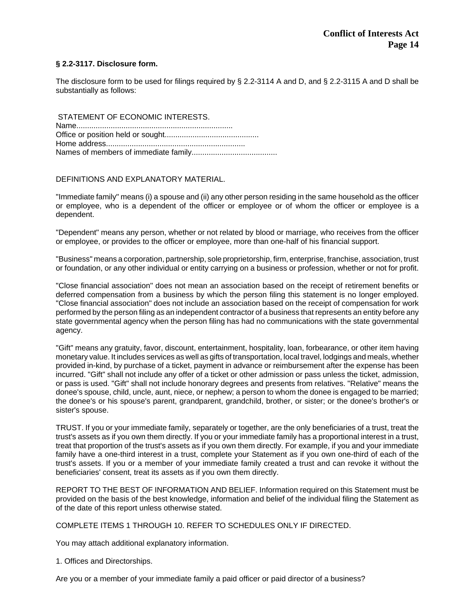### **§ 2.2-3117. Disclosure form.**

The disclosure form to be used for filings required by § 2.2-3114 A and D, and § 2.2-3115 A and D shall be substantially as follows:

 STATEMENT OF ECONOMIC INTERESTS. Name......................................................................... Office or position held or sought............................................ Home address................................................................. Names of members of immediate family........................................

### DEFINITIONS AND EXPLANATORY MATERIAL.

"Immediate family" means (i) a spouse and (ii) any other person residing in the same household as the officer or employee, who is a dependent of the officer or employee or of whom the officer or employee is a dependent.

"Dependent" means any person, whether or not related by blood or marriage, who receives from the officer or employee, or provides to the officer or employee, more than one-half of his financial support.

"Business" means a corporation, partnership, sole proprietorship, firm, enterprise, franchise, association, trust or foundation, or any other individual or entity carrying on a business or profession, whether or not for profit.

"Close financial association" does not mean an association based on the receipt of retirement benefits or deferred compensation from a business by which the person filing this statement is no longer employed. "Close financial association" does not include an association based on the receipt of compensation for work performed by the person filing as an independent contractor of a business that represents an entity before any state governmental agency when the person filing has had no communications with the state governmental agency.

"Gift" means any gratuity, favor, discount, entertainment, hospitality, loan, forbearance, or other item having monetary value. It includes services as well as gifts of transportation, local travel, lodgings and meals, whether provided in-kind, by purchase of a ticket, payment in advance or reimbursement after the expense has been incurred. "Gift" shall not include any offer of a ticket or other admission or pass unless the ticket, admission, or pass is used. "Gift" shall not include honorary degrees and presents from relatives. "Relative" means the donee's spouse, child, uncle, aunt, niece, or nephew; a person to whom the donee is engaged to be married; the donee's or his spouse's parent, grandparent, grandchild, brother, or sister; or the donee's brother's or sister's spouse.

TRUST. If you or your immediate family, separately or together, are the only beneficiaries of a trust, treat the trust's assets as if you own them directly. If you or your immediate family has a proportional interest in a trust, treat that proportion of the trust's assets as if you own them directly. For example, if you and your immediate family have a one-third interest in a trust, complete your Statement as if you own one-third of each of the trust's assets. If you or a member of your immediate family created a trust and can revoke it without the beneficiaries' consent, treat its assets as if you own them directly.

REPORT TO THE BEST OF INFORMATION AND BELIEF. Information required on this Statement must be provided on the basis of the best knowledge, information and belief of the individual filing the Statement as of the date of this report unless otherwise stated.

COMPLETE ITEMS 1 THROUGH 10. REFER TO SCHEDULES ONLY IF DIRECTED.

You may attach additional explanatory information.

1. Offices and Directorships.

Are you or a member of your immediate family a paid officer or paid director of a business?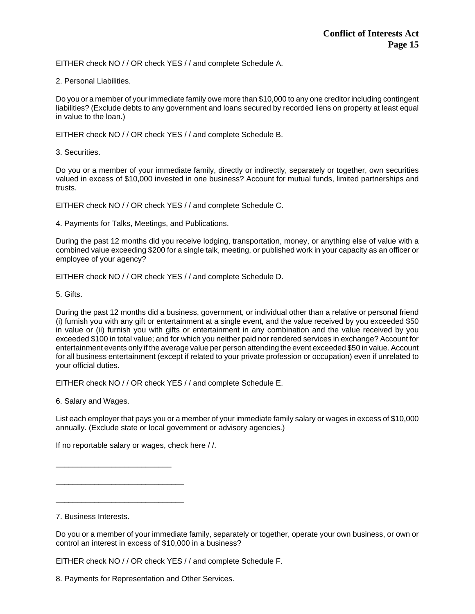EITHER check NO / / OR check YES / / and complete Schedule A.

2. Personal Liabilities.

Do you or a member of your immediate family owe more than \$10,000 to any one creditor including contingent liabilities? (Exclude debts to any government and loans secured by recorded liens on property at least equal in value to the loan.)

EITHER check NO // OR check YES // and complete Schedule B.

3. Securities.

Do you or a member of your immediate family, directly or indirectly, separately or together, own securities valued in excess of \$10,000 invested in one business? Account for mutual funds, limited partnerships and trusts.

EITHER check NO / / OR check YES / / and complete Schedule C.

4. Payments for Talks, Meetings, and Publications.

During the past 12 months did you receive lodging, transportation, money, or anything else of value with a combined value exceeding \$200 for a single talk, meeting, or published work in your capacity as an officer or employee of your agency?

EITHER check NO / / OR check YES / / and complete Schedule D.

5. Gifts.

During the past 12 months did a business, government, or individual other than a relative or personal friend (i) furnish you with any gift or entertainment at a single event, and the value received by you exceeded \$50 in value or (ii) furnish you with gifts or entertainment in any combination and the value received by you exceeded \$100 in total value; and for which you neither paid nor rendered services in exchange? Account for entertainment events only if the average value per person attending the event exceeded \$50 in value. Account for all business entertainment (except if related to your private profession or occupation) even if unrelated to your official duties.

EITHER check NO / / OR check YES / / and complete Schedule E.

6. Salary and Wages.

List each employer that pays you or a member of your immediate family salary or wages in excess of \$10,000 annually. (Exclude state or local government or advisory agencies.)

If no reportable salary or wages, check here / /.

\_\_\_\_\_\_\_\_\_\_\_\_\_\_\_\_\_\_\_\_\_\_\_\_\_\_\_

\_\_\_\_\_\_\_\_\_\_\_\_\_\_\_\_\_\_\_\_\_\_\_\_\_\_\_\_\_\_

\_\_\_\_\_\_\_\_\_\_\_\_\_\_\_\_\_\_\_\_\_\_\_\_\_\_\_\_\_\_

7. Business Interests.

Do you or a member of your immediate family, separately or together, operate your own business, or own or control an interest in excess of \$10,000 in a business?

EITHER check NO / / OR check YES / / and complete Schedule F.

8. Payments for Representation and Other Services.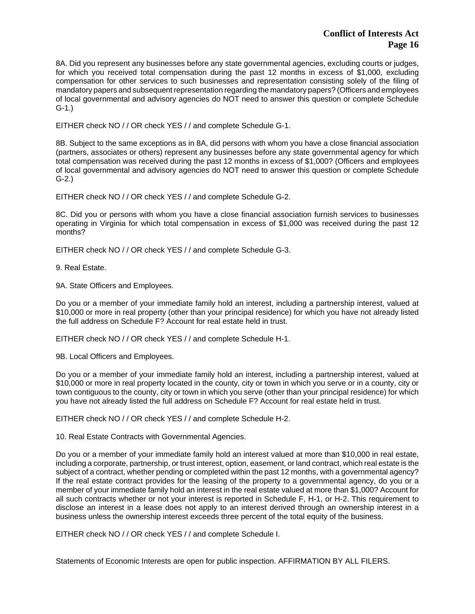8A. Did you represent any businesses before any state governmental agencies, excluding courts or judges, for which you received total compensation during the past 12 months in excess of \$1,000, excluding compensation for other services to such businesses and representation consisting solely of the filing of mandatory papers and subsequent representation regarding the mandatory papers? (Officers and employees of local governmental and advisory agencies do NOT need to answer this question or complete Schedule G-1.)

EITHER check NO / / OR check YES / / and complete Schedule G-1.

8B. Subject to the same exceptions as in 8A, did persons with whom you have a close financial association (partners, associates or others) represent any businesses before any state governmental agency for which total compensation was received during the past 12 months in excess of \$1,000? (Officers and employees of local governmental and advisory agencies do NOT need to answer this question or complete Schedule G-2.)

EITHER check NO / / OR check YES / / and complete Schedule G-2.

8C. Did you or persons with whom you have a close financial association furnish services to businesses operating in Virginia for which total compensation in excess of \$1,000 was received during the past 12 months?

EITHER check NO / / OR check YES / / and complete Schedule G-3.

9. Real Estate.

9A. State Officers and Employees.

Do you or a member of your immediate family hold an interest, including a partnership interest, valued at \$10,000 or more in real property (other than your principal residence) for which you have not already listed the full address on Schedule F? Account for real estate held in trust.

EITHER check NO / / OR check YES / / and complete Schedule H-1.

9B. Local Officers and Employees.

Do you or a member of your immediate family hold an interest, including a partnership interest, valued at \$10,000 or more in real property located in the county, city or town in which you serve or in a county, city or town contiguous to the county, city or town in which you serve (other than your principal residence) for which you have not already listed the full address on Schedule F? Account for real estate held in trust.

EITHER check NO / / OR check YES / / and complete Schedule H-2.

10. Real Estate Contracts with Governmental Agencies.

Do you or a member of your immediate family hold an interest valued at more than \$10,000 in real estate, including a corporate, partnership, or trust interest, option, easement, or land contract, which real estate is the subject of a contract, whether pending or completed within the past 12 months, with a governmental agency? If the real estate contract provides for the leasing of the property to a governmental agency, do you or a member of your immediate family hold an interest in the real estate valued at more than \$1,000? Account for all such contracts whether or not your interest is reported in Schedule F, H-1, or H-2. This requirement to disclose an interest in a lease does not apply to an interest derived through an ownership interest in a business unless the ownership interest exceeds three percent of the total equity of the business.

EITHER check NO / / OR check YES / / and complete Schedule I.

Statements of Economic Interests are open for public inspection. AFFIRMATION BY ALL FILERS.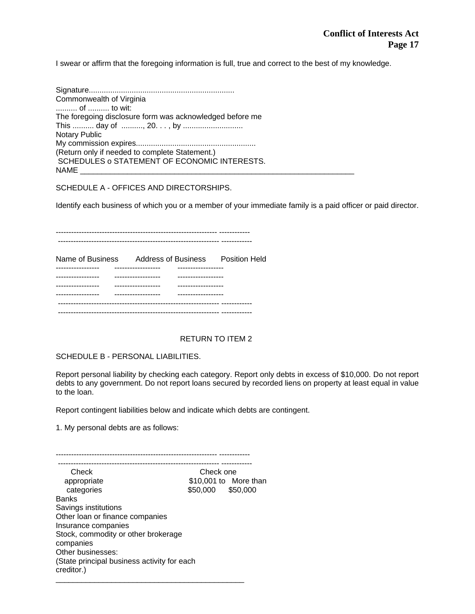I swear or affirm that the foregoing information is full, true and correct to the best of my knowledge.

Signature.................................................................... Commonwealth of Virginia .......... of .......... to wit: The foregoing disclosure form was acknowledged before me This .......... day of .........., 20. . . , by ............................ Notary Public My commission expires........................................................ (Return only if needed to complete Statement.) SCHEDULES o STATEMENT OF ECONOMIC INTERESTS. NAME \_\_\_\_\_\_\_\_\_\_\_\_\_\_\_\_\_\_\_\_\_\_\_\_\_\_\_\_\_\_\_\_\_\_\_\_\_\_\_\_\_\_\_\_\_\_\_\_\_\_\_\_\_\_\_\_\_\_\_\_\_\_\_\_

SCHEDULE A - OFFICES AND DIRECTORSHIPS.

Identify each business of which you or a member of your immediate family is a paid officer or paid director.

--------------------------------------------------------------- ------------ --------------------------------------------------------------- ------------

Name of Business Address of Business Position Held ----------------- ------------------ ------------------ ----------------- ------------------ ------------------ ----------------- ------------------ ------------------ ----------------- ------------------ ------------------ --------------------------------------------------------------- ------------ --------------------------------------------------------------- ------------

### RETURN TO ITEM 2

SCHEDULE B - PERSONAL LIABILITIES.

Report personal liability by checking each category. Report only debts in excess of \$10,000. Do not report debts to any government. Do not report loans secured by recorded liens on property at least equal in value to the loan.

Report contingent liabilities below and indicate which debts are contingent.

1. My personal debts are as follows:

--------------------------------------------------------------- ------------ --------------------------------------------------------------- ------------ Check Check Check Check Check one<br>
appropriate S10,001 to M appropriate \$10,001 to More than categories \$50,000 \$50,000 Banks Savings institutions Other loan or finance companies Insurance companies Stock, commodity or other brokerage companies Other businesses: (State principal business activity for each creditor.) \_\_\_\_\_\_\_\_\_\_\_\_\_\_\_\_\_\_\_\_\_\_\_\_\_\_\_\_\_\_\_\_\_\_\_\_\_\_\_\_\_\_\_\_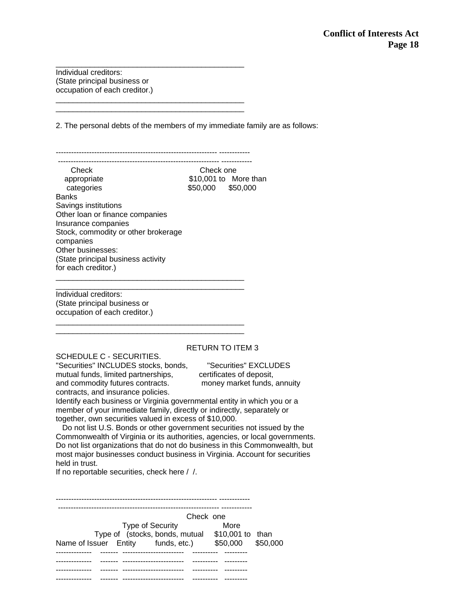Individual creditors: (State principal business or occupation of each creditor.)

2. The personal debts of the members of my immediate family are as follows:

| Check                               | Check one             |
|-------------------------------------|-----------------------|
| appropriate                         | \$10,001 to More than |
| categories                          | \$50,000 \$50,000     |
| Banks                               |                       |
| Savings institutions                |                       |
| Other loan or finance companies     |                       |
| Insurance companies                 |                       |
| Stock, commodity or other brokerage |                       |
| companies                           |                       |
| Other businesses:                   |                       |
| (State principal business activity  |                       |
| for each creditor.)                 |                       |
|                                     |                       |
|                                     |                       |

\_\_\_\_\_\_\_\_\_\_\_\_\_\_\_\_\_\_\_\_\_\_\_\_\_\_\_\_\_\_\_\_\_\_\_\_\_\_\_\_\_\_\_\_ \_\_\_\_\_\_\_\_\_\_\_\_\_\_\_\_\_\_\_\_\_\_\_\_\_\_\_\_\_\_\_\_\_\_\_\_\_\_\_\_\_\_\_\_

\_\_\_\_\_\_\_\_\_\_\_\_\_\_\_\_\_\_\_\_\_\_\_\_\_\_\_\_\_\_\_\_\_\_\_\_\_\_\_\_\_\_\_\_

\_\_\_\_\_\_\_\_\_\_\_\_\_\_\_\_\_\_\_\_\_\_\_\_\_\_\_\_\_\_\_\_\_\_\_\_\_\_\_\_\_\_\_\_ \_\_\_\_\_\_\_\_\_\_\_\_\_\_\_\_\_\_\_\_\_\_\_\_\_\_\_\_\_\_\_\_\_\_\_\_\_\_\_\_\_\_\_\_

Individual creditors: (State principal business or occupation of each creditor.)

SCHEDULE C - SECURITIES. "Securities" INCLUDES stocks, bonds, "Securities" EXCLUDES mutual funds, limited partnerships, certificates of deposit,<br>and commodity futures contracts. money market funds, annuity and commodity futures contracts. contracts, and insurance policies.

#### RETURN TO ITEM 3

Identify each business or Virginia governmental entity in which you or a member of your immediate family, directly or indirectly, separately or together, own securities valued in excess of \$10,000.

 Do not list U.S. Bonds or other government securities not issued by the Commonwealth of Virginia or its authorities, agencies, or local governments. Do not list organizations that do not do business in this Commonwealth, but most major businesses conduct business in Virginia. Account for securities held in trust.

If no reportable securities, check here / /.

--------------------------------------------------------------- ------------

| Chack and |  |
|-----------|--|

|                                    | Check one |                   |  |
|------------------------------------|-----------|-------------------|--|
| <b>Type of Security</b>            |           | More              |  |
| Type of (stocks, bonds, mutual     |           | \$10,001 to than  |  |
| Name of Issuer Entity funds, etc.) |           | \$50,000 \$50,000 |  |
|                                    |           |                   |  |
|                                    |           |                   |  |
|                                    |           |                   |  |
|                                    |           |                   |  |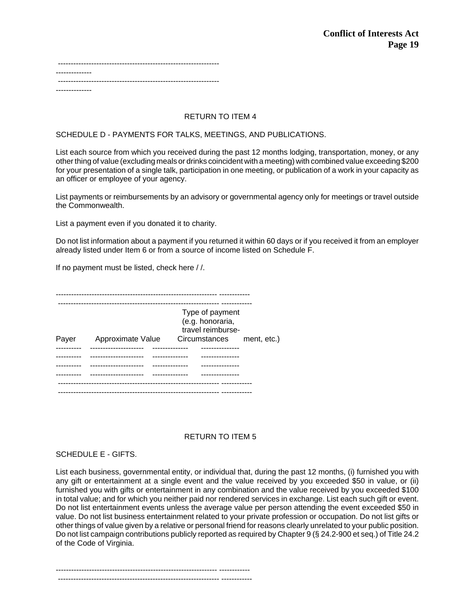--------------------------------------------------------------- -------------- --------------------------------------------------------------- --------------

### RETURN TO ITEM 4

### SCHEDULE D - PAYMENTS FOR TALKS, MEETINGS, AND PUBLICATIONS.

List each source from which you received during the past 12 months lodging, transportation, money, or any other thing of value (excluding meals or drinks coincident with a meeting) with combined value exceeding \$200 for your presentation of a single talk, participation in one meeting, or publication of a work in your capacity as an officer or employee of your agency.

List payments or reimbursements by an advisory or governmental agency only for meetings or travel outside the Commonwealth.

List a payment even if you donated it to charity.

Do not list information about a payment if you returned it within 60 days or if you received it from an employer already listed under Item 6 or from a source of income listed on Schedule F.

If no payment must be listed, check here / /.

--------------------------------------------------------------- ------------ --------------------------------------------------------------- ------------

|       |                   | Type of payment<br>(e.g. honoraria,<br>travel reimburse- |  |
|-------|-------------------|----------------------------------------------------------|--|
| Paver | Approximate Value | Circumstances ment, etc.)                                |  |
|       |                   |                                                          |  |
|       |                   |                                                          |  |
|       |                   |                                                          |  |
|       |                   |                                                          |  |
|       |                   |                                                          |  |

### RETURN TO ITEM 5

#### SCHEDULE E - GIFTS.

List each business, governmental entity, or individual that, during the past 12 months, (i) furnished you with any gift or entertainment at a single event and the value received by you exceeded \$50 in value, or (ii) furnished you with gifts or entertainment in any combination and the value received by you exceeded \$100 in total value; and for which you neither paid nor rendered services in exchange. List each such gift or event. Do not list entertainment events unless the average value per person attending the event exceeded \$50 in value. Do not list business entertainment related to your private profession or occupation. Do not list gifts or other things of value given by a relative or personal friend for reasons clearly unrelated to your public position. Do not list campaign contributions publicly reported as required by Chapter 9 (§ 24.2-900 et seq.) of Title 24.2 of the Code of Virginia.

--------------------------------------------------------------- ------------ --------------------------------------------------------------- ------------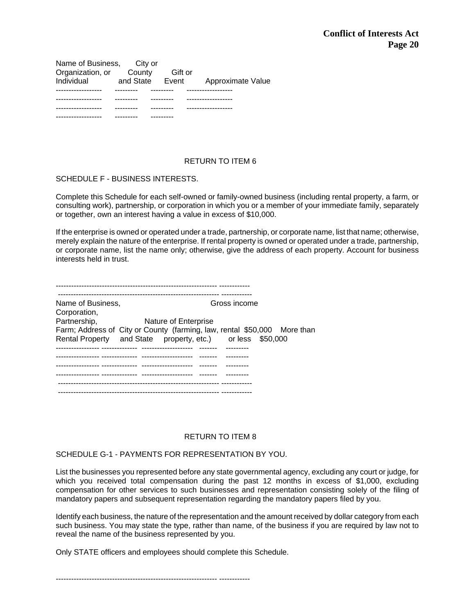Name of Business, City or<br>Organization, or County Organization, or County Gift or Individual and State Event Approximate Value ------------------ --------- --------- ------------------ ------------------ --------- --------- ------------------ ------------------ --------- --------- ------------------ ------------------ --------- ---------

#### RETURN TO ITEM 6

#### SCHEDULE F - BUSINESS INTERESTS.

Complete this Schedule for each self-owned or family-owned business (including rental property, a farm, or consulting work), partnership, or corporation in which you or a member of your immediate family, separately or together, own an interest having a value in excess of \$10,000.

If the enterprise is owned or operated under a trade, partnership, or corporate name, list that name; otherwise, merely explain the nature of the enterprise. If rental property is owned or operated under a trade, partnership, or corporate name, list the name only; otherwise, give the address of each property. Account for business interests held in trust.

--------------------------------------------------------------- ------------ --------------------------------------------------------------- ------------ Name of Business, Gross income Corporation, Partnership. Nature of Enterprise Farm; Address of City or County (farming, law, rental \$50,000 More than Rental Property and State property, etc.) or less \$50,000 ----------------- -------------- -------------------- ------- --------- ----------------- -------------- -------------------- ------- --------- ----------------- -------------- -------------------- ------- --------- ----------------- -------------- -------------------- ------- --------- --------------------------------------------------------------- ------------ --------------------------------------------------------------- ------------

#### RETURN TO ITEM 8

#### SCHEDULE G-1 - PAYMENTS FOR REPRESENTATION BY YOU.

List the businesses you represented before any state governmental agency, excluding any court or judge, for which you received total compensation during the past 12 months in excess of \$1,000, excluding compensation for other services to such businesses and representation consisting solely of the filing of mandatory papers and subsequent representation regarding the mandatory papers filed by you.

Identify each business, the nature of the representation and the amount received by dollar category from each such business. You may state the type, rather than name, of the business if you are required by law not to reveal the name of the business represented by you.

Only STATE officers and employees should complete this Schedule.

--------------------------------------------------------------- ------------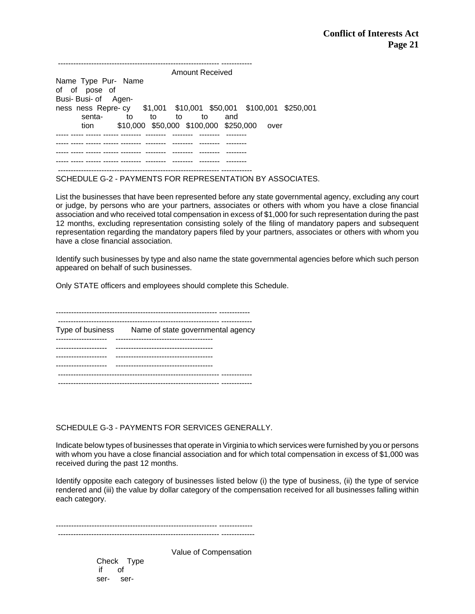--------------------------------------------------------------- ------------ Amount Received Name Type Pur- Name of of pose of Busi- Busi- of Agenness ness Repre- cy \$1,001 \$10,001 \$50,001 \$100,001 \$250,001 senta- to to to to and tion \$10,000 \$50,000 \$100,000 \$250,000 over ----- ----- ------ ------ -------- -------- -------- -------- -------- ----- ----- ------ ------ -------- -------- -------- -------- -------- ----- ----- ------ ------ -------- -------- -------- -------- -------- ----- ----- ------ ------ -------- -------- -------- -------- -------- --------------------------------------------------------------- ------------ SCHEDULE G-2 - PAYMENTS FOR REPRESENTATION BY ASSOCIATES.

List the businesses that have been represented before any state governmental agency, excluding any court or judge, by persons who are your partners, associates or others with whom you have a close financial association and who received total compensation in excess of \$1,000 for such representation during the past 12 months, excluding representation consisting solely of the filing of mandatory papers and subsequent representation regarding the mandatory papers filed by your partners, associates or others with whom you have a close financial association.

Identify such businesses by type and also name the state governmental agencies before which such person appeared on behalf of such businesses.

Only STATE officers and employees should complete this Schedule.

--------------------------------------------------------------- ------------ --------------------------------------------------------------- ------------ Type of business Name of state governmental agency -------------------- -------------------------------------- -------------------- -------------------------------------- -------------------- -------------------------------------- -------------------- -------------------------------------- --------------------------------------------------------------- ------------ --------------------------------------------------------------- ------------

#### SCHEDULE G-3 - PAYMENTS FOR SERVICES GENERALLY.

Indicate below types of businesses that operate in Virginia to which services were furnished by you or persons with whom you have a close financial association and for which total compensation in excess of \$1,000 was received during the past 12 months.

Identify opposite each category of businesses listed below (i) the type of business, (ii) the type of service rendered and (iii) the value by dollar category of the compensation received for all businesses falling within each category.

--------------------------------------------------------------- ------------- --------------------------------------------------------------- -------------

Value of Compensation

 Check Type if of ser- ser-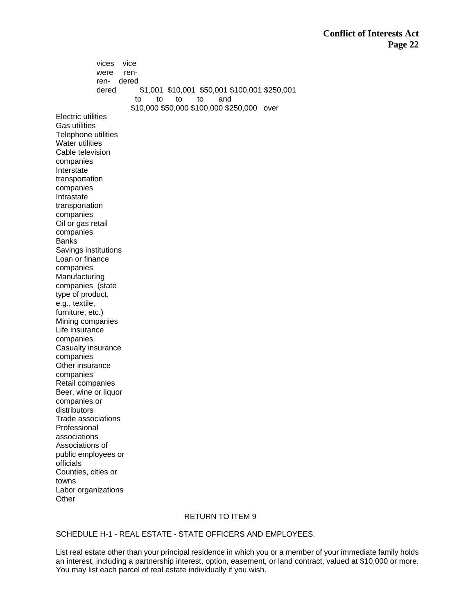vices vice were ren ren- dered dered \$1,001 \$10,001 \$50,001 \$100,001 \$250,001 to to to to and \$10,000 \$50,000 \$100,000 \$250,000 over Electric utilities Gas utilities Telephone utilities Water utilities Cable television companies Interstate transportation companies Intrastate transportation companies Oil or gas retail companies Banks Savings institutions Loan or finance companies Manufacturing companies (state type of product, e.g., textile, furniture, etc.) Mining companies Life insurance companies Casualty insurance companies Other insurance companies Retail companies Beer, wine or liquor companies or distributors Trade associations Professional associations Associations of public employees or officials Counties, cities or towns Labor organizations **Other** 

## RETURN TO ITEM 9

### SCHEDULE H-1 - REAL ESTATE - STATE OFFICERS AND EMPLOYEES.

List real estate other than your principal residence in which you or a member of your immediate family holds an interest, including a partnership interest, option, easement, or land contract, valued at \$10,000 or more. You may list each parcel of real estate individually if you wish.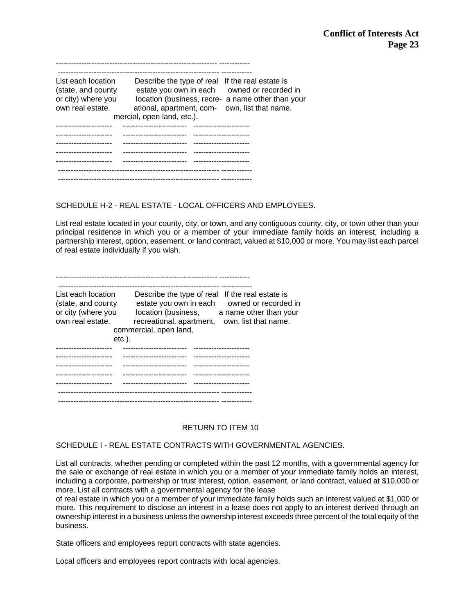--------------------------------------------------------------- ------------ --------------------------------------------------------------- ------------ List each location Describe the type of real If the real estate is (state, and county estate you own in each owned or recorded in or city) where you location (business, recre- a name other than your own real estate. ational, apartment, com- own, list that name. mercial, open land, etc.). ---------------------- ------------------------- ---------------------- ---------------------- ------------------------- ---------------------- ---------------------- ------------------------- ---------------------- ---------------------- ------------------------- ---------------------- ---------------------- ------------------------- ---------------------- --------------------------------------------------------------- ------------ --------------------------------------------------------------- ------------

# SCHEDULE H-2 - REAL ESTATE - LOCAL OFFICERS AND EMPLOYEES.

List real estate located in your county, city, or town, and any contiguous county, city, or town other than your principal residence in which you or a member of your immediate family holds an interest, including a partnership interest, option, easement, or land contract, valued at \$10,000 or more. You may list each parcel of real estate individually if you wish.

| List each location<br>(state, and county<br>or city (where you<br>own real estate.<br>$etc.$ ). | Describe the type of real If the real estate is<br>estate you own in each owned or recorded in<br>location (business, a name other than your<br>recreational, apartment, own, list that name.<br>commercial, open land, |
|-------------------------------------------------------------------------------------------------|-------------------------------------------------------------------------------------------------------------------------------------------------------------------------------------------------------------------------|
|                                                                                                 |                                                                                                                                                                                                                         |
|                                                                                                 |                                                                                                                                                                                                                         |
|                                                                                                 |                                                                                                                                                                                                                         |
|                                                                                                 |                                                                                                                                                                                                                         |
|                                                                                                 |                                                                                                                                                                                                                         |
|                                                                                                 |                                                                                                                                                                                                                         |
|                                                                                                 |                                                                                                                                                                                                                         |

# RETURN TO ITEM 10

# SCHEDULE I - REAL ESTATE CONTRACTS WITH GOVERNMENTAL AGENCIES.

List all contracts, whether pending or completed within the past 12 months, with a governmental agency for the sale or exchange of real estate in which you or a member of your immediate family holds an interest, including a corporate, partnership or trust interest, option, easement, or land contract, valued at \$10,000 or more. List all contracts with a governmental agency for the lease

of real estate in which you or a member of your immediate family holds such an interest valued at \$1,000 or more. This requirement to disclose an interest in a lease does not apply to an interest derived through an ownership interest in a business unless the ownership interest exceeds three percent of the total equity of the business.

State officers and employees report contracts with state agencies.

Local officers and employees report contracts with local agencies.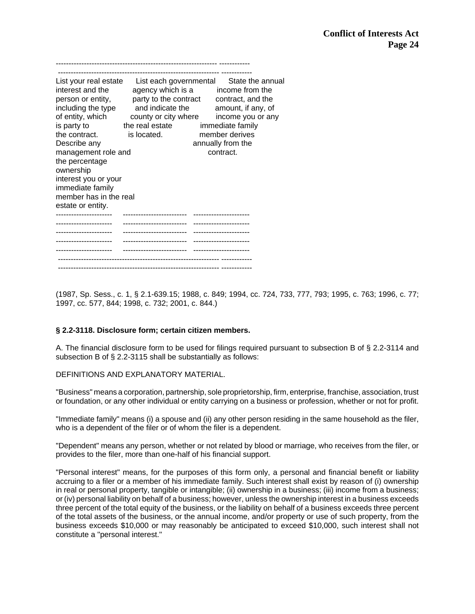| interest and the<br>person or entity,<br>including the type<br>of entity, which<br>is party to<br>the contract.<br>Describe any<br>management role and<br>the percentage<br>ownership<br>interest you or your<br>immediate family<br>member has in the real<br>estate or entity. | party to the contract<br>and indicate the<br>county or city where<br>the real estate<br>is located. | List your real estate List each governmental State the annual<br>agency which is a income from the<br>contract, and the<br>amount, if any, of<br>income you or any<br>immediate family<br>member derives<br>annually from the<br>contract. |  |
|----------------------------------------------------------------------------------------------------------------------------------------------------------------------------------------------------------------------------------------------------------------------------------|-----------------------------------------------------------------------------------------------------|--------------------------------------------------------------------------------------------------------------------------------------------------------------------------------------------------------------------------------------------|--|
|                                                                                                                                                                                                                                                                                  |                                                                                                     |                                                                                                                                                                                                                                            |  |
|                                                                                                                                                                                                                                                                                  |                                                                                                     |                                                                                                                                                                                                                                            |  |
|                                                                                                                                                                                                                                                                                  |                                                                                                     |                                                                                                                                                                                                                                            |  |
|                                                                                                                                                                                                                                                                                  |                                                                                                     |                                                                                                                                                                                                                                            |  |
|                                                                                                                                                                                                                                                                                  |                                                                                                     |                                                                                                                                                                                                                                            |  |
|                                                                                                                                                                                                                                                                                  |                                                                                                     |                                                                                                                                                                                                                                            |  |
|                                                                                                                                                                                                                                                                                  |                                                                                                     |                                                                                                                                                                                                                                            |  |

(1987, Sp. Sess., c. 1, § 2.1-639.15; 1988, c. 849; 1994, cc. 724, 733, 777, 793; 1995, c. 763; 1996, c. 77; 1997, cc. 577, 844; 1998, c. 732; 2001, c. 844.)

#### **§ 2.2-3118. Disclosure form; certain citizen members.**

A. The financial disclosure form to be used for filings required pursuant to subsection B of § 2.2-3114 and subsection B of § 2.2-3115 shall be substantially as follows:

#### DEFINITIONS AND EXPLANATORY MATERIAL.

"Business" means a corporation, partnership, sole proprietorship, firm, enterprise, franchise, association, trust or foundation, or any other individual or entity carrying on a business or profession, whether or not for profit.

"Immediate family" means (i) a spouse and (ii) any other person residing in the same household as the filer, who is a dependent of the filer or of whom the filer is a dependent.

"Dependent" means any person, whether or not related by blood or marriage, who receives from the filer, or provides to the filer, more than one-half of his financial support.

"Personal interest" means, for the purposes of this form only, a personal and financial benefit or liability accruing to a filer or a member of his immediate family. Such interest shall exist by reason of (i) ownership in real or personal property, tangible or intangible; (ii) ownership in a business; (iii) income from a business; or (iv) personal liability on behalf of a business; however, unless the ownership interest in a business exceeds three percent of the total equity of the business, or the liability on behalf of a business exceeds three percent of the total assets of the business, or the annual income, and/or property or use of such property, from the business exceeds \$10,000 or may reasonably be anticipated to exceed \$10,000, such interest shall not constitute a "personal interest."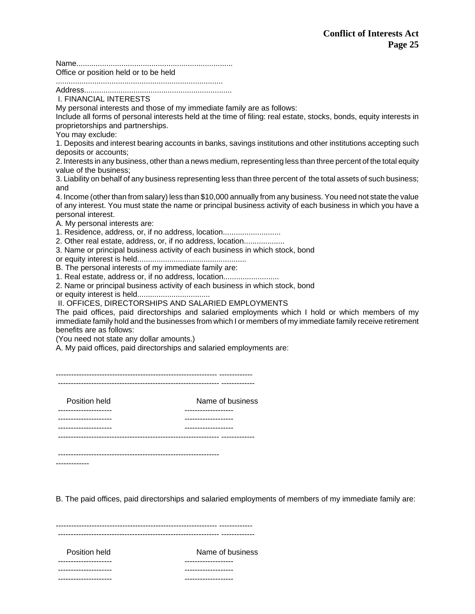Name......................................................................... Office or position held or to be held

..............................................................................

Address.....................................................................

I. FINANCIAL INTERESTS

My personal interests and those of my immediate family are as follows:

Include all forms of personal interests held at the time of filing: real estate, stocks, bonds, equity interests in proprietorships and partnerships.

You may exclude:

1. Deposits and interest bearing accounts in banks, savings institutions and other institutions accepting such deposits or accounts;

2. Interests in any business, other than a news medium, representing less than three percent of the total equity value of the business;

3. Liability on behalf of any business representing less than three percent of the total assets of such business; and

4. Income (other than from salary) less than \$10,000 annually from any business. You need not state the value of any interest. You must state the name or principal business activity of each business in which you have a personal interest.

A. My personal interests are:

1. Residence, address, or, if no address, location..............................

2. Other real estate, address, or, if no address, location...................

3. Name or principal business activity of each business in which stock, bond

or equity interest is held...................................................

B. The personal interests of my immediate family are:

1. Real estate, address or, if no address, location..........................

2. Name or principal business activity of each business in which stock, bond

or equity interest is held..................................

II. OFFICES, DIRECTORSHIPS AND SALARIED EMPLOYMENTS

The paid offices, paid directorships and salaried employments which I hold or which members of my immediate family hold and the businesses from which I or members of my immediate family receive retirement benefits are as follows:

(You need not state any dollar amounts.)

A. My paid offices, paid directorships and salaried employments are:

--------------------------------------------------------------- -------------

--------------------------------------------------------------- -------------

Position held Name of business --------------------- ------------------- --------------------- ------------------- --------------------- ------------------- --------------------------------------------------------------- ------------- --------------------------------------------------------------- -------------

B. The paid offices, paid directorships and salaried employments of members of my immediate family are:

--------------------------------------------------------------- ------------- --------------------------------------------------------------- -------------

Position held Name of business

 --------------------- ------------------- --------------------- -------------------

--------------------- -------------------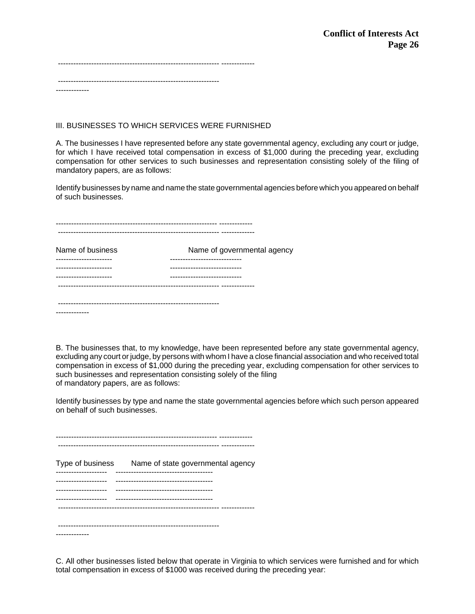--------------------------------------------------------------- ------------- --------------------------------------------------------------- -------------

III. BUSINESSES TO WHICH SERVICES WERE FURNISHED

A. The businesses I have represented before any state governmental agency, excluding any court or judge, for which I have received total compensation in excess of \$1,000 during the preceding year, excluding compensation for other services to such businesses and representation consisting solely of the filing of mandatory papers, are as follows:

Identify businesses by name and name the state governmental agencies before which you appeared on behalf of such businesses.

| Name of business   | Name of governmental agency |  |
|--------------------|-----------------------------|--|
| ------------------ | ------------------------    |  |
|                    | --------------------------  |  |
|                    |                             |  |
|                    |                             |  |
|                    |                             |  |
|                    |                             |  |
| .                  |                             |  |

B. The businesses that, to my knowledge, have been represented before any state governmental agency, excluding any court or judge, by persons with whom I have a close financial association and who received total compensation in excess of \$1,000 during the preceding year, excluding compensation for other services to such businesses and representation consisting solely of the filing of mandatory papers, are as follows:

Identify businesses by type and name the state governmental agencies before which such person appeared on behalf of such businesses.

--------------------------------------------------------------- ------------- --------------------------------------------------------------- -------------

Type of business Name of state governmental agency

-------------------- -------------------------------------- -------------------- -------------------------------------- -------------------- -------------------------------------- -------------------- -------------------------------------- --------------------------------------------------------------- ------------- --------------------------------------------------------------- -------------

C. All other businesses listed below that operate in Virginia to which services were furnished and for which total compensation in excess of \$1000 was received during the preceding year: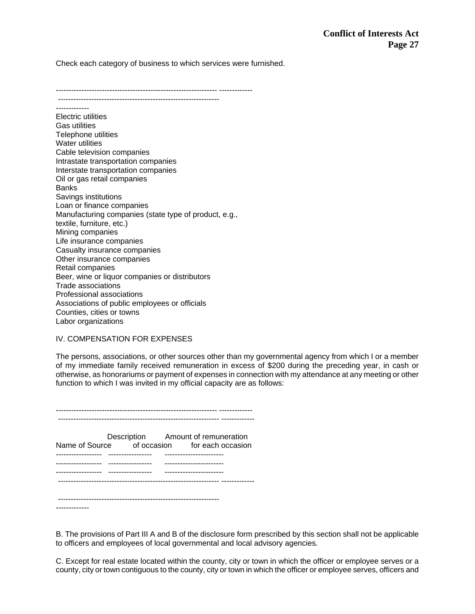Check each category of business to which services were furnished.

--------------------------------------------------------------- -------------

---------------------------------------------------------------

------------- Electric utilities Gas utilities Telephone utilities Water utilities Cable television companies Intrastate transportation companies Interstate transportation companies Oil or gas retail companies Banks Savings institutions Loan or finance companies Manufacturing companies (state type of product, e.g., textile, furniture, etc.) Mining companies Life insurance companies Casualty insurance companies Other insurance companies Retail companies Beer, wine or liquor companies or distributors Trade associations Professional associations Associations of public employees or officials Counties, cities or towns Labor organizations

#### IV. COMPENSATION FOR EXPENSES

The persons, associations, or other sources other than my governmental agency from which I or a member of my immediate family received remuneration in excess of \$200 during the preceding year, in cash or otherwise, as honorariums or payment of expenses in connection with my attendance at any meeting or other function to which I was invited in my official capacity are as follows:

--------------------------------------------------------------- ------------- --------------------------------------------------------------- ------------- Description Amount of remuneration Name of Source of occasion for each occasion ------------------ ----------------- ----------------------- ------------------ ----------------- ----------------------- ------------------ ----------------- ----------------------- --------------------------------------------------------------- ------------- --------------------------------------------------------------- -------------

B. The provisions of Part III A and B of the disclosure form prescribed by this section shall not be applicable to officers and employees of local governmental and local advisory agencies.

C. Except for real estate located within the county, city or town in which the officer or employee serves or a county, city or town contiguous to the county, city or town in which the officer or employee serves, officers and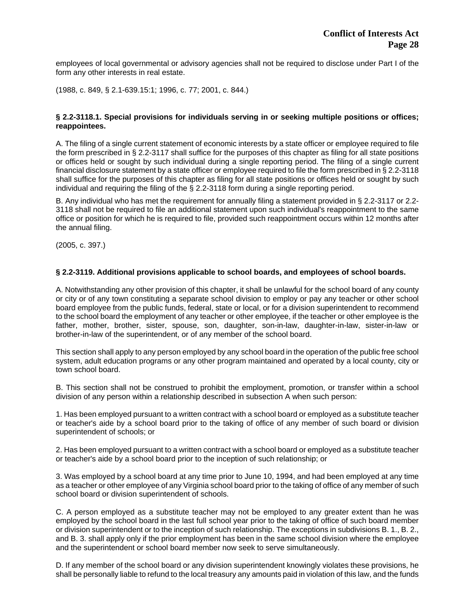employees of local governmental or advisory agencies shall not be required to disclose under Part I of the form any other interests in real estate.

(1988, c. 849, § 2.1-639.15:1; 1996, c. 77; 2001, c. 844.)

#### **§ 2.2-3118.1. Special provisions for individuals serving in or seeking multiple positions or offices; reappointees.**

A. The filing of a single current statement of economic interests by a state officer or employee required to file the form prescribed in § 2.2-3117 shall suffice for the purposes of this chapter as filing for all state positions or offices held or sought by such individual during a single reporting period. The filing of a single current financial disclosure statement by a state officer or employee required to file the form prescribed in § 2.2-3118 shall suffice for the purposes of this chapter as filing for all state positions or offices held or sought by such individual and requiring the filing of the § 2.2-3118 form during a single reporting period.

B. Any individual who has met the requirement for annually filing a statement provided in § 2.2-3117 or 2.2- 3118 shall not be required to file an additional statement upon such individual's reappointment to the same office or position for which he is required to file, provided such reappointment occurs within 12 months after the annual filing.

(2005, c. 397.)

#### **§ 2.2-3119. Additional provisions applicable to school boards, and employees of school boards.**

A. Notwithstanding any other provision of this chapter, it shall be unlawful for the school board of any county or city or of any town constituting a separate school division to employ or pay any teacher or other school board employee from the public funds, federal, state or local, or for a division superintendent to recommend to the school board the employment of any teacher or other employee, if the teacher or other employee is the father, mother, brother, sister, spouse, son, daughter, son-in-law, daughter-in-law, sister-in-law or brother-in-law of the superintendent, or of any member of the school board.

This section shall apply to any person employed by any school board in the operation of the public free school system, adult education programs or any other program maintained and operated by a local county, city or town school board.

B. This section shall not be construed to prohibit the employment, promotion, or transfer within a school division of any person within a relationship described in subsection A when such person:

1. Has been employed pursuant to a written contract with a school board or employed as a substitute teacher or teacher's aide by a school board prior to the taking of office of any member of such board or division superintendent of schools; or

2. Has been employed pursuant to a written contract with a school board or employed as a substitute teacher or teacher's aide by a school board prior to the inception of such relationship; or

3. Was employed by a school board at any time prior to June 10, 1994, and had been employed at any time as a teacher or other employee of any Virginia school board prior to the taking of office of any member of such school board or division superintendent of schools.

C. A person employed as a substitute teacher may not be employed to any greater extent than he was employed by the school board in the last full school year prior to the taking of office of such board member or division superintendent or to the inception of such relationship. The exceptions in subdivisions B. 1., B. 2., and B. 3. shall apply only if the prior employment has been in the same school division where the employee and the superintendent or school board member now seek to serve simultaneously.

D. If any member of the school board or any division superintendent knowingly violates these provisions, he shall be personally liable to refund to the local treasury any amounts paid in violation of this law, and the funds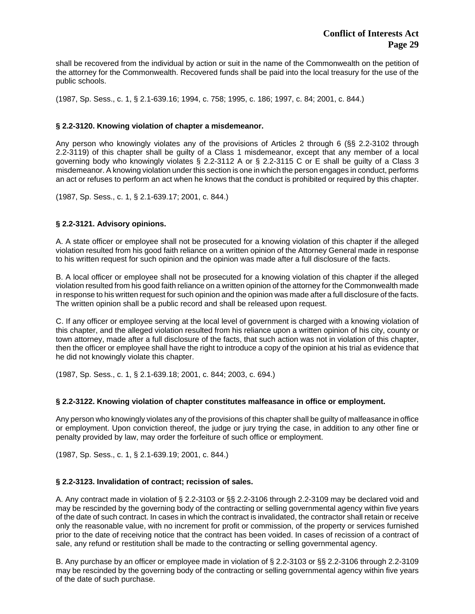shall be recovered from the individual by action or suit in the name of the Commonwealth on the petition of the attorney for the Commonwealth. Recovered funds shall be paid into the local treasury for the use of the public schools.

(1987, Sp. Sess., c. 1, § 2.1-639.16; 1994, c. 758; 1995, c. 186; 1997, c. 84; 2001, c. 844.)

## **§ 2.2-3120. Knowing violation of chapter a misdemeanor.**

Any person who knowingly violates any of the provisions of Articles 2 through 6 (§§ 2.2-3102 through 2.2-3119) of this chapter shall be guilty of a Class 1 misdemeanor, except that any member of a local governing body who knowingly violates § 2.2-3112 A or § 2.2-3115 C or E shall be guilty of a Class 3 misdemeanor. A knowing violation under this section is one in which the person engages in conduct, performs an act or refuses to perform an act when he knows that the conduct is prohibited or required by this chapter.

(1987, Sp. Sess., c. 1, § 2.1-639.17; 2001, c. 844.)

# **§ 2.2-3121. Advisory opinions.**

A. A state officer or employee shall not be prosecuted for a knowing violation of this chapter if the alleged violation resulted from his good faith reliance on a written opinion of the Attorney General made in response to his written request for such opinion and the opinion was made after a full disclosure of the facts.

B. A local officer or employee shall not be prosecuted for a knowing violation of this chapter if the alleged violation resulted from his good faith reliance on a written opinion of the attorney for the Commonwealth made in response to his written request for such opinion and the opinion was made after a full disclosure of the facts. The written opinion shall be a public record and shall be released upon request.

C. If any officer or employee serving at the local level of government is charged with a knowing violation of this chapter, and the alleged violation resulted from his reliance upon a written opinion of his city, county or town attorney, made after a full disclosure of the facts, that such action was not in violation of this chapter, then the officer or employee shall have the right to introduce a copy of the opinion at his trial as evidence that he did not knowingly violate this chapter.

(1987, Sp. Sess., c. 1, § 2.1-639.18; 2001, c. 844; 2003, c. 694.)

#### **§ 2.2-3122. Knowing violation of chapter constitutes malfeasance in office or employment.**

Any person who knowingly violates any of the provisions of this chapter shall be guilty of malfeasance in office or employment. Upon conviction thereof, the judge or jury trying the case, in addition to any other fine or penalty provided by law, may order the forfeiture of such office or employment.

(1987, Sp. Sess., c. 1, § 2.1-639.19; 2001, c. 844.)

#### **§ 2.2-3123. Invalidation of contract; recission of sales.**

A. Any contract made in violation of § 2.2-3103 or §§ 2.2-3106 through 2.2-3109 may be declared void and may be rescinded by the governing body of the contracting or selling governmental agency within five years of the date of such contract. In cases in which the contract is invalidated, the contractor shall retain or receive only the reasonable value, with no increment for profit or commission, of the property or services furnished prior to the date of receiving notice that the contract has been voided. In cases of recission of a contract of sale, any refund or restitution shall be made to the contracting or selling governmental agency.

B. Any purchase by an officer or employee made in violation of § 2.2-3103 or §§ 2.2-3106 through 2.2-3109 may be rescinded by the governing body of the contracting or selling governmental agency within five years of the date of such purchase.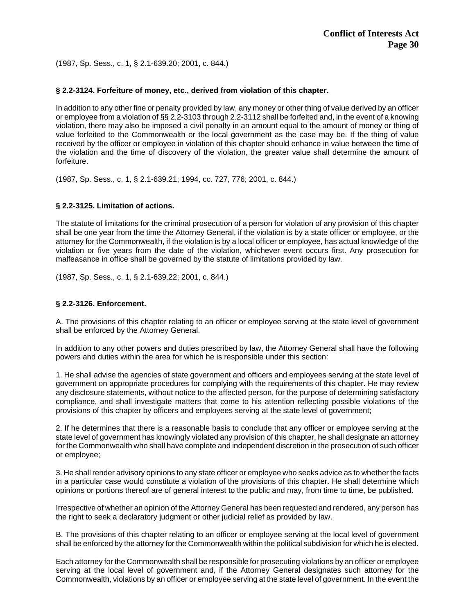(1987, Sp. Sess., c. 1, § 2.1-639.20; 2001, c. 844.)

### **§ 2.2-3124. Forfeiture of money, etc., derived from violation of this chapter.**

In addition to any other fine or penalty provided by law, any money or other thing of value derived by an officer or employee from a violation of §§ 2.2-3103 through 2.2-3112 shall be forfeited and, in the event of a knowing violation, there may also be imposed a civil penalty in an amount equal to the amount of money or thing of value forfeited to the Commonwealth or the local government as the case may be. If the thing of value received by the officer or employee in violation of this chapter should enhance in value between the time of the violation and the time of discovery of the violation, the greater value shall determine the amount of forfeiture.

(1987, Sp. Sess., c. 1, § 2.1-639.21; 1994, cc. 727, 776; 2001, c. 844.)

### **§ 2.2-3125. Limitation of actions.**

The statute of limitations for the criminal prosecution of a person for violation of any provision of this chapter shall be one year from the time the Attorney General, if the violation is by a state officer or employee, or the attorney for the Commonwealth, if the violation is by a local officer or employee, has actual knowledge of the violation or five years from the date of the violation, whichever event occurs first. Any prosecution for malfeasance in office shall be governed by the statute of limitations provided by law.

(1987, Sp. Sess., c. 1, § 2.1-639.22; 2001, c. 844.)

#### **§ 2.2-3126. Enforcement.**

A. The provisions of this chapter relating to an officer or employee serving at the state level of government shall be enforced by the Attorney General.

In addition to any other powers and duties prescribed by law, the Attorney General shall have the following powers and duties within the area for which he is responsible under this section:

1. He shall advise the agencies of state government and officers and employees serving at the state level of government on appropriate procedures for complying with the requirements of this chapter. He may review any disclosure statements, without notice to the affected person, for the purpose of determining satisfactory compliance, and shall investigate matters that come to his attention reflecting possible violations of the provisions of this chapter by officers and employees serving at the state level of government;

2. If he determines that there is a reasonable basis to conclude that any officer or employee serving at the state level of government has knowingly violated any provision of this chapter, he shall designate an attorney for the Commonwealth who shall have complete and independent discretion in the prosecution of such officer or employee;

3. He shall render advisory opinions to any state officer or employee who seeks advice as to whether the facts in a particular case would constitute a violation of the provisions of this chapter. He shall determine which opinions or portions thereof are of general interest to the public and may, from time to time, be published.

Irrespective of whether an opinion of the Attorney General has been requested and rendered, any person has the right to seek a declaratory judgment or other judicial relief as provided by law.

B. The provisions of this chapter relating to an officer or employee serving at the local level of government shall be enforced by the attorney for the Commonwealth within the political subdivision for which he is elected.

Each attorney for the Commonwealth shall be responsible for prosecuting violations by an officer or employee serving at the local level of government and, if the Attorney General designates such attorney for the Commonwealth, violations by an officer or employee serving at the state level of government. In the event the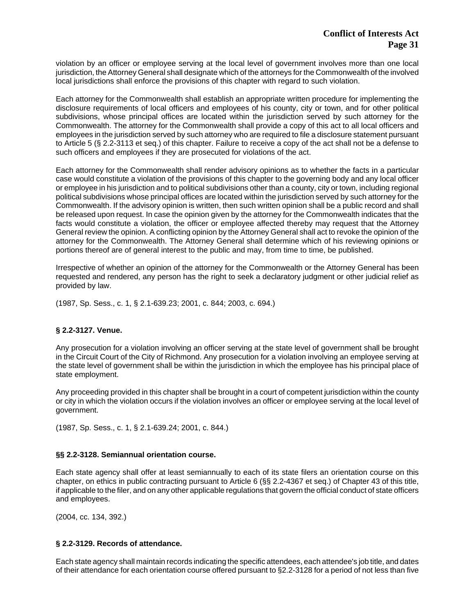violation by an officer or employee serving at the local level of government involves more than one local jurisdiction, the Attorney General shall designate which of the attorneys for the Commonwealth of the involved local jurisdictions shall enforce the provisions of this chapter with regard to such violation.

Each attorney for the Commonwealth shall establish an appropriate written procedure for implementing the disclosure requirements of local officers and employees of his county, city or town, and for other political subdivisions, whose principal offices are located within the jurisdiction served by such attorney for the Commonwealth. The attorney for the Commonwealth shall provide a copy of this act to all local officers and employees in the jurisdiction served by such attorney who are required to file a disclosure statement pursuant to Article 5 (§ 2.2-3113 et seq.) of this chapter. Failure to receive a copy of the act shall not be a defense to such officers and employees if they are prosecuted for violations of the act.

Each attorney for the Commonwealth shall render advisory opinions as to whether the facts in a particular case would constitute a violation of the provisions of this chapter to the governing body and any local officer or employee in his jurisdiction and to political subdivisions other than a county, city or town, including regional political subdivisions whose principal offices are located within the jurisdiction served by such attorney for the Commonwealth. If the advisory opinion is written, then such written opinion shall be a public record and shall be released upon request. In case the opinion given by the attorney for the Commonwealth indicates that the facts would constitute a violation, the officer or employee affected thereby may request that the Attorney General review the opinion. A conflicting opinion by the Attorney General shall act to revoke the opinion of the attorney for the Commonwealth. The Attorney General shall determine which of his reviewing opinions or portions thereof are of general interest to the public and may, from time to time, be published.

Irrespective of whether an opinion of the attorney for the Commonwealth or the Attorney General has been requested and rendered, any person has the right to seek a declaratory judgment or other judicial relief as provided by law.

(1987, Sp. Sess., c. 1, § 2.1-639.23; 2001, c. 844; 2003, c. 694.)

# **§ 2.2-3127. Venue.**

Any prosecution for a violation involving an officer serving at the state level of government shall be brought in the Circuit Court of the City of Richmond. Any prosecution for a violation involving an employee serving at the state level of government shall be within the jurisdiction in which the employee has his principal place of state employment.

Any proceeding provided in this chapter shall be brought in a court of competent jurisdiction within the county or city in which the violation occurs if the violation involves an officer or employee serving at the local level of government.

(1987, Sp. Sess., c. 1, § 2.1-639.24; 2001, c. 844.)

# **§§ 2.2-3128. Semiannual orientation course.**

Each state agency shall offer at least semiannually to each of its state filers an orientation course on this chapter, on ethics in public contracting pursuant to Article 6 (§§ 2.2-4367 et seq.) of Chapter 43 of this title, if applicable to the filer, and on any other applicable regulations that govern the official conduct of state officers and employees.

(2004, cc. 134, 392.)

# **§ 2.2-3129. Records of attendance.**

Each state agency shall maintain records indicating the specific attendees, each attendee's job title, and dates of their attendance for each orientation course offered pursuant to §2.2-3128 for a period of not less than five